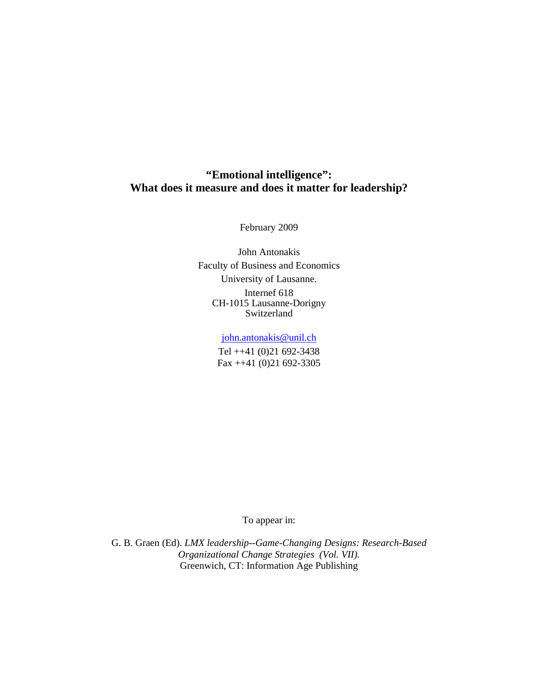# **"Emotional intelligence": What does it measure and does it matter for leadership?**

February 2009

John Antonakis Faculty of Business and Economics University of Lausanne. Internef 618 CH-1015 Lausanne-Dorigny Switzerland

john.antonakis@unil.ch

Tel ++41 (0)21 692-3438 Fax ++41 (0)21 692-3305

To appear in:

G. B. Graen (Ed). *LMX leadership--Game-Changing Designs: Research-Based Organizational Change Strategies (Vol. VII).* Greenwich, CT: Information Age Publishing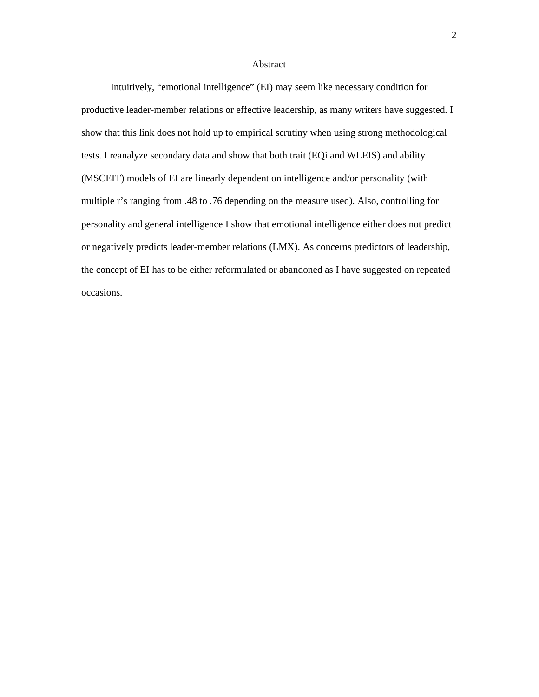### Abstract

Intuitively, "emotional intelligence" (EI) may seem like necessary condition for productive leader-member relations or effective leadership, as many writers have suggested. I show that this link does not hold up to empirical scrutiny when using strong methodological tests. I reanalyze secondary data and show that both trait (EQi and WLEIS) and ability (MSCEIT) models of EI are linearly dependent on intelligence and/or personality (with multiple r's ranging from .48 to .76 depending on the measure used). Also, controlling for personality and general intelligence I show that emotional intelligence either does not predict or negatively predicts leader-member relations (LMX). As concerns predictors of leadership, the concept of EI has to be either reformulated or abandoned as I have suggested on repeated occasions.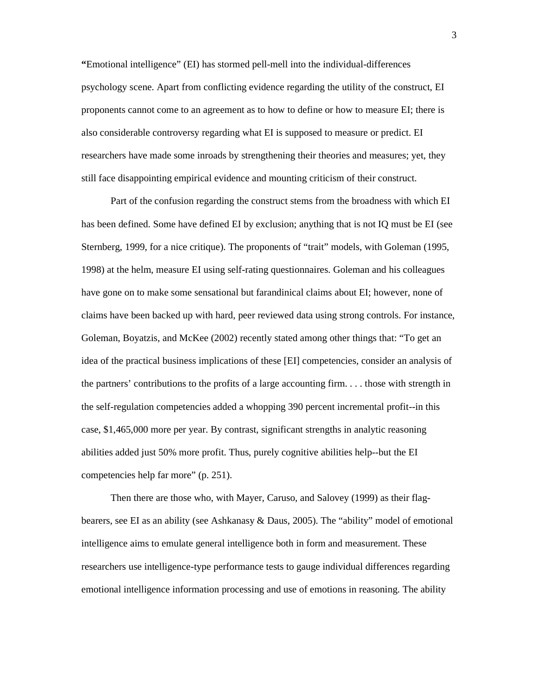**"**Emotional intelligence" (EI) has stormed pell-mell into the individual-differences psychology scene. Apart from conflicting evidence regarding the utility of the construct, EI proponents cannot come to an agreement as to how to define or how to measure EI; there is also considerable controversy regarding what EI is supposed to measure or predict. EI researchers have made some inroads by strengthening their theories and measures; yet, they still face disappointing empirical evidence and mounting criticism of their construct.

Part of the confusion regarding the construct stems from the broadness with which EI has been defined. Some have defined EI by exclusion; anything that is not IQ must be EI (see Sternberg, 1999, for a nice critique). The proponents of "trait" models, with Goleman (1995, 1998) at the helm, measure EI using self-rating questionnaires. Goleman and his colleagues have gone on to make some sensational but farandinical claims about EI; however, none of claims have been backed up with hard, peer reviewed data using strong controls. For instance, Goleman, Boyatzis, and McKee (2002) recently stated among other things that: "To get an idea of the practical business implications of these [EI] competencies, consider an analysis of the partners' contributions to the profits of a large accounting firm. . . . those with strength in the self-regulation competencies added a whopping 390 percent incremental profit--in this case, \$1,465,000 more per year. By contrast, significant strengths in analytic reasoning abilities added just 50% more profit. Thus, purely cognitive abilities help--but the EI competencies help far more" (p. 251).

Then there are those who, with Mayer, Caruso, and Salovey (1999) as their flagbearers, see EI as an ability (see Ashkanasy & Daus, 2005). The "ability" model of emotional intelligence aims to emulate general intelligence both in form and measurement. These researchers use intelligence-type performance tests to gauge individual differences regarding emotional intelligence information processing and use of emotions in reasoning. The ability

3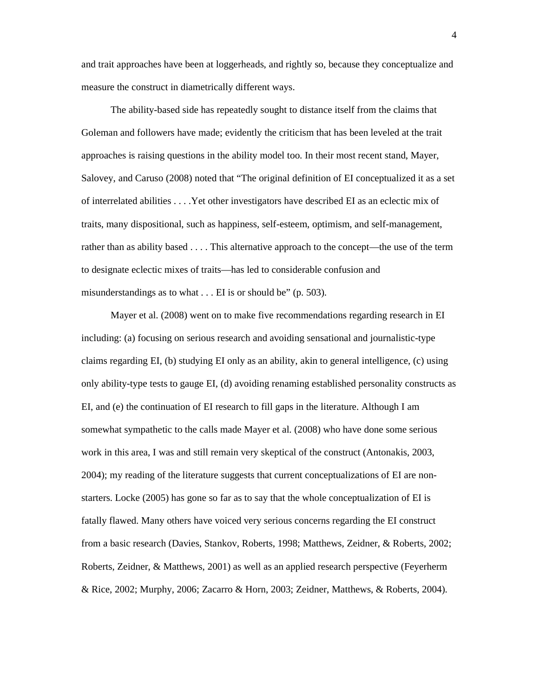and trait approaches have been at loggerheads, and rightly so, because they conceptualize and measure the construct in diametrically different ways.

The ability-based side has repeatedly sought to distance itself from the claims that Goleman and followers have made; evidently the criticism that has been leveled at the trait approaches is raising questions in the ability model too. In their most recent stand, Mayer, Salovey, and Caruso (2008) noted that "The original definition of EI conceptualized it as a set of interrelated abilities . . . .Yet other investigators have described EI as an eclectic mix of traits, many dispositional, such as happiness, self-esteem, optimism, and self-management, rather than as ability based . . . . This alternative approach to the concept—the use of the term to designate eclectic mixes of traits—has led to considerable confusion and misunderstandings as to what . . . EI is or should be" (p. 503).

Mayer et al. (2008) went on to make five recommendations regarding research in EI including: (a) focusing on serious research and avoiding sensational and journalistic-type claims regarding EI, (b) studying EI only as an ability, akin to general intelligence, (c) using only ability-type tests to gauge EI, (d) avoiding renaming established personality constructs as EI, and (e) the continuation of EI research to fill gaps in the literature. Although I am somewhat sympathetic to the calls made Mayer et al. (2008) who have done some serious work in this area, I was and still remain very skeptical of the construct (Antonakis, 2003, 2004); my reading of the literature suggests that current conceptualizations of EI are nonstarters. Locke (2005) has gone so far as to say that the whole conceptualization of EI is fatally flawed. Many others have voiced very serious concerns regarding the EI construct from a basic research (Davies, Stankov, Roberts, 1998; Matthews, Zeidner, & Roberts, 2002; Roberts, Zeidner, & Matthews, 2001) as well as an applied research perspective (Feyerherm & Rice, 2002; Murphy, 2006; Zacarro & Horn, 2003; Zeidner, Matthews, & Roberts, 2004).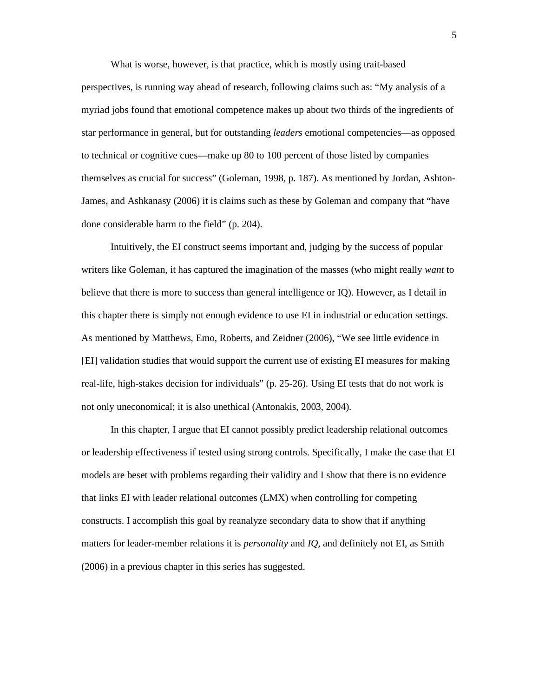What is worse, however, is that practice, which is mostly using trait-based perspectives, is running way ahead of research, following claims such as: "My analysis of a myriad jobs found that emotional competence makes up about two thirds of the ingredients of star performance in general, but for outstanding *leaders* emotional competencies—as opposed to technical or cognitive cues—make up 80 to 100 percent of those listed by companies themselves as crucial for success" (Goleman, 1998, p. 187). As mentioned by Jordan, Ashton-James, and Ashkanasy (2006) it is claims such as these by Goleman and company that "have done considerable harm to the field" (p. 204).

Intuitively, the EI construct seems important and, judging by the success of popular writers like Goleman, it has captured the imagination of the masses (who might really *want* to believe that there is more to success than general intelligence or IQ). However, as I detail in this chapter there is simply not enough evidence to use EI in industrial or education settings. As mentioned by Matthews, Emo, Roberts, and Zeidner (2006), "We see little evidence in [EI] validation studies that would support the current use of existing EI measures for making real-life, high-stakes decision for individuals" (p. 25-26). Using EI tests that do not work is not only uneconomical; it is also unethical (Antonakis, 2003, 2004).

In this chapter, I argue that EI cannot possibly predict leadership relational outcomes or leadership effectiveness if tested using strong controls. Specifically, I make the case that EI models are beset with problems regarding their validity and I show that there is no evidence that links EI with leader relational outcomes (LMX) when controlling for competing constructs. I accomplish this goal by reanalyze secondary data to show that if anything matters for leader-member relations it is *personality* and *IQ*, and definitely not EI, as Smith (2006) in a previous chapter in this series has suggested.

5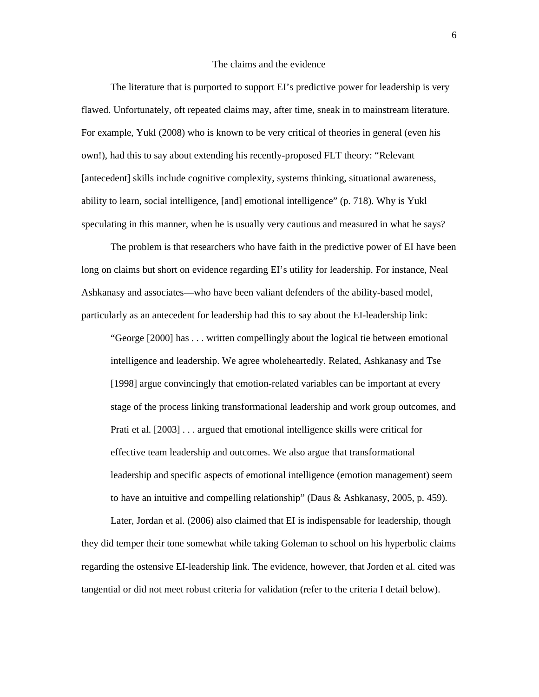### The claims and the evidence

The literature that is purported to support EI's predictive power for leadership is very flawed. Unfortunately, oft repeated claims may, after time, sneak in to mainstream literature. For example, Yukl (2008) who is known to be very critical of theories in general (even his own!), had this to say about extending his recently-proposed FLT theory: "Relevant [antecedent] skills include cognitive complexity, systems thinking, situational awareness, ability to learn, social intelligence, [and] emotional intelligence" (p. 718). Why is Yukl speculating in this manner, when he is usually very cautious and measured in what he says?

The problem is that researchers who have faith in the predictive power of EI have been long on claims but short on evidence regarding EI's utility for leadership. For instance, Neal Ashkanasy and associates—who have been valiant defenders of the ability-based model, particularly as an antecedent for leadership had this to say about the EI-leadership link:

"George [2000] has . . . written compellingly about the logical tie between emotional intelligence and leadership. We agree wholeheartedly. Related, Ashkanasy and Tse [1998] argue convincingly that emotion-related variables can be important at every stage of the process linking transformational leadership and work group outcomes, and Prati et al. [2003] . . . argued that emotional intelligence skills were critical for effective team leadership and outcomes. We also argue that transformational leadership and specific aspects of emotional intelligence (emotion management) seem to have an intuitive and compelling relationship" (Daus & Ashkanasy, 2005, p. 459).

Later, Jordan et al. (2006) also claimed that EI is indispensable for leadership, though they did temper their tone somewhat while taking Goleman to school on his hyperbolic claims regarding the ostensive EI-leadership link. The evidence, however, that Jorden et al. cited was tangential or did not meet robust criteria for validation (refer to the criteria I detail below).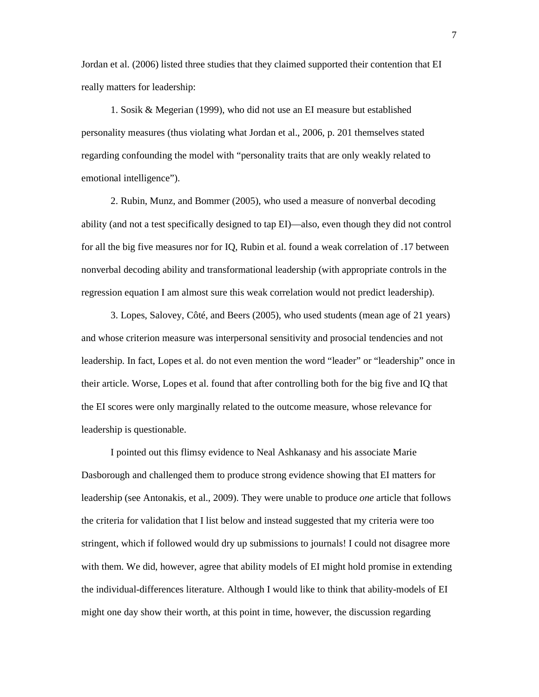Jordan et al. (2006) listed three studies that they claimed supported their contention that EI really matters for leadership:

1. Sosik & Megerian (1999), who did not use an EI measure but established personality measures (thus violating what Jordan et al., 2006, p. 201 themselves stated regarding confounding the model with "personality traits that are only weakly related to emotional intelligence").

2. Rubin, Munz, and Bommer (2005), who used a measure of nonverbal decoding ability (and not a test specifically designed to tap EI)—also, even though they did not control for all the big five measures nor for IQ, Rubin et al. found a weak correlation of .17 between nonverbal decoding ability and transformational leadership (with appropriate controls in the regression equation I am almost sure this weak correlation would not predict leadership).

3. Lopes, Salovey, Côté, and Beers (2005), who used students (mean age of 21 years) and whose criterion measure was interpersonal sensitivity and prosocial tendencies and not leadership. In fact, Lopes et al. do not even mention the word "leader" or "leadership" once in their article. Worse, Lopes et al. found that after controlling both for the big five and IQ that the EI scores were only marginally related to the outcome measure, whose relevance for leadership is questionable.

I pointed out this flimsy evidence to Neal Ashkanasy and his associate Marie Dasborough and challenged them to produce strong evidence showing that EI matters for leadership (see Antonakis, et al., 2009). They were unable to produce *one* article that follows the criteria for validation that I list below and instead suggested that my criteria were too stringent, which if followed would dry up submissions to journals! I could not disagree more with them. We did, however, agree that ability models of EI might hold promise in extending the individual-differences literature. Although I would like to think that ability-models of EI might one day show their worth, at this point in time, however, the discussion regarding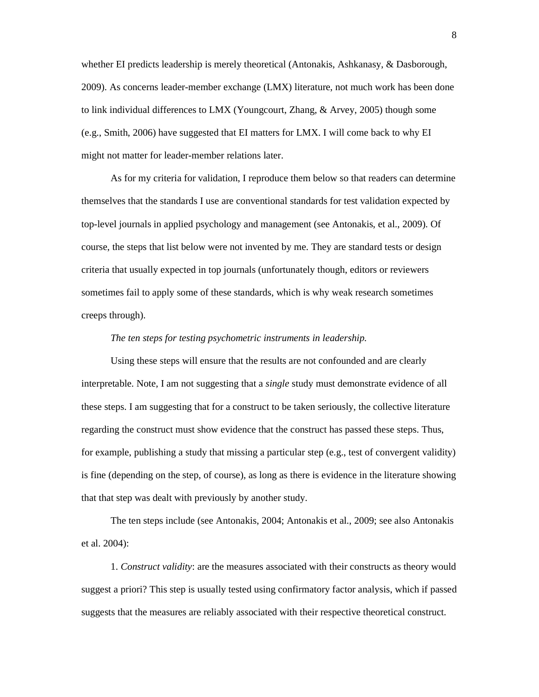whether EI predicts leadership is merely theoretical (Antonakis, Ashkanasy, & Dasborough, 2009). As concerns leader-member exchange (LMX) literature, not much work has been done to link individual differences to LMX (Youngcourt, Zhang, & Arvey, 2005) though some (e.g., Smith, 2006) have suggested that EI matters for LMX. I will come back to why EI might not matter for leader-member relations later.

As for my criteria for validation, I reproduce them below so that readers can determine themselves that the standards I use are conventional standards for test validation expected by top-level journals in applied psychology and management (see Antonakis, et al., 2009). Of course, the steps that list below were not invented by me. They are standard tests or design criteria that usually expected in top journals (unfortunately though, editors or reviewers sometimes fail to apply some of these standards, which is why weak research sometimes creeps through).

### *The ten steps for testing psychometric instruments in leadership.*

Using these steps will ensure that the results are not confounded and are clearly interpretable. Note, I am not suggesting that a *single* study must demonstrate evidence of all these steps. I am suggesting that for a construct to be taken seriously, the collective literature regarding the construct must show evidence that the construct has passed these steps. Thus, for example, publishing a study that missing a particular step (e.g., test of convergent validity) is fine (depending on the step, of course), as long as there is evidence in the literature showing that that step was dealt with previously by another study.

The ten steps include (see Antonakis, 2004; Antonakis et al., 2009; see also Antonakis et al. 2004):

1. *Construct validity*: are the measures associated with their constructs as theory would suggest a priori? This step is usually tested using confirmatory factor analysis, which if passed suggests that the measures are reliably associated with their respective theoretical construct.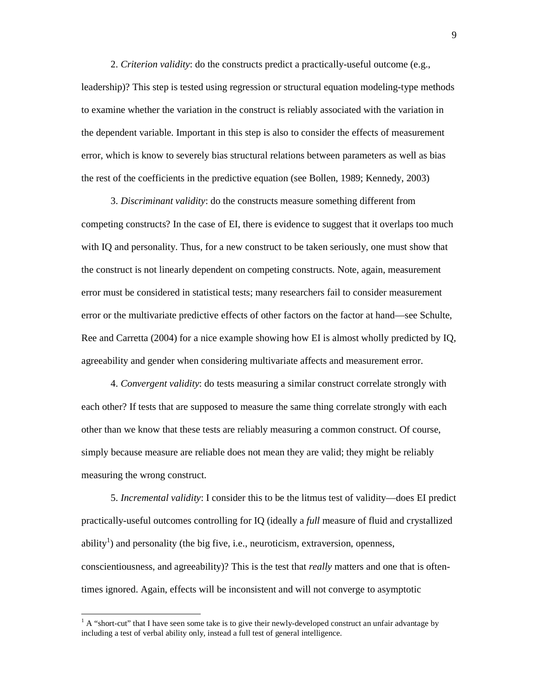2. *Criterion validity*: do the constructs predict a practically-useful outcome (e.g., leadership)? This step is tested using regression or structural equation modeling-type methods to examine whether the variation in the construct is reliably associated with the variation in the dependent variable. Important in this step is also to consider the effects of measurement error, which is know to severely bias structural relations between parameters as well as bias the rest of the coefficients in the predictive equation (see Bollen, 1989; Kennedy, 2003)

3. *Discriminant validity*: do the constructs measure something different from competing constructs? In the case of EI, there is evidence to suggest that it overlaps too much with IQ and personality. Thus, for a new construct to be taken seriously, one must show that the construct is not linearly dependent on competing constructs. Note, again, measurement error must be considered in statistical tests; many researchers fail to consider measurement error or the multivariate predictive effects of other factors on the factor at hand—see Schulte, Ree and Carretta (2004) for a nice example showing how EI is almost wholly predicted by IQ, agreeability and gender when considering multivariate affects and measurement error.

4. *Convergent validity*: do tests measuring a similar construct correlate strongly with each other? If tests that are supposed to measure the same thing correlate strongly with each other than we know that these tests are reliably measuring a common construct. Of course, simply because measure are reliable does not mean they are valid; they might be reliably measuring the wrong construct.

5. *Incremental validity*: I consider this to be the litmus test of validity—does EI predict practically-useful outcomes controlling for IQ (ideally a *full* measure of fluid and crystallized ability<sup>1</sup>) and personality (the big five, i.e., neuroticism, extraversion, openness, conscientiousness, and agreeability)? This is the test that *really* matters and one that is oftentimes ignored. Again, effects will be inconsistent and will not converge to asymptotic

-

 $<sup>1</sup>$  A "short-cut" that I have seen some take is to give their newly-developed construct an unfair advantage by</sup> including a test of verbal ability only, instead a full test of general intelligence.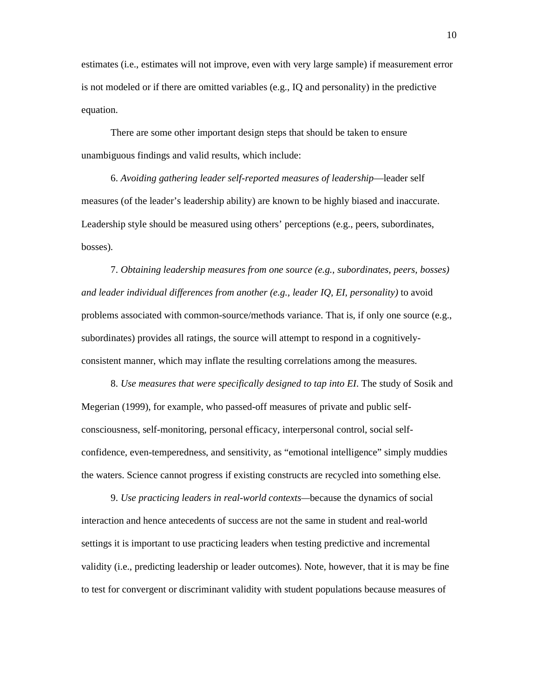estimates (i.e., estimates will not improve, even with very large sample) if measurement error is not modeled or if there are omitted variables (e.g., IQ and personality) in the predictive equation.

There are some other important design steps that should be taken to ensure unambiguous findings and valid results, which include:

6. *Avoiding gathering leader self-reported measures of leadership*—leader self measures (of the leader's leadership ability) are known to be highly biased and inaccurate. Leadership style should be measured using others' perceptions (e.g., peers, subordinates, bosses).

7. *Obtaining leadership measures from one source (e.g., subordinates, peers, bosses) and leader individual differences from another (e.g., leader IQ, EI, personality)* to avoid problems associated with common-source/methods variance. That is, if only one source (e.g., subordinates) provides all ratings, the source will attempt to respond in a cognitivelyconsistent manner, which may inflate the resulting correlations among the measures.

8. *Use measures that were specifically designed to tap into EI*. The study of Sosik and Megerian (1999), for example, who passed-off measures of private and public selfconsciousness, self-monitoring, personal efficacy, interpersonal control, social selfconfidence, even-temperedness, and sensitivity, as "emotional intelligence" simply muddies the waters. Science cannot progress if existing constructs are recycled into something else.

9. *Use practicing leaders in real-world contexts—*because the dynamics of social interaction and hence antecedents of success are not the same in student and real-world settings it is important to use practicing leaders when testing predictive and incremental validity (i.e., predicting leadership or leader outcomes). Note, however, that it is may be fine to test for convergent or discriminant validity with student populations because measures of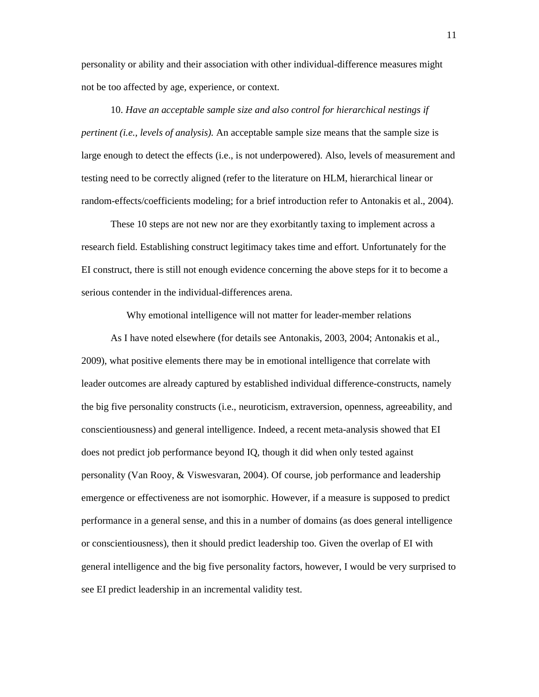personality or ability and their association with other individual-difference measures might not be too affected by age, experience, or context.

10. *Have an acceptable sample size and also control for hierarchical nestings if pertinent (i.e., levels of analysis).* An acceptable sample size means that the sample size is large enough to detect the effects (i.e., is not underpowered). Also, levels of measurement and testing need to be correctly aligned (refer to the literature on HLM, hierarchical linear or random-effects/coefficients modeling; for a brief introduction refer to Antonakis et al., 2004).

These 10 steps are not new nor are they exorbitantly taxing to implement across a research field. Establishing construct legitimacy takes time and effort. Unfortunately for the EI construct, there is still not enough evidence concerning the above steps for it to become a serious contender in the individual-differences arena.

Why emotional intelligence will not matter for leader-member relations

As I have noted elsewhere (for details see Antonakis, 2003, 2004; Antonakis et al., 2009), what positive elements there may be in emotional intelligence that correlate with leader outcomes are already captured by established individual difference-constructs, namely the big five personality constructs (i.e., neuroticism, extraversion, openness, agreeability, and conscientiousness) and general intelligence. Indeed, a recent meta-analysis showed that EI does not predict job performance beyond IQ, though it did when only tested against personality (Van Rooy, & Viswesvaran, 2004). Of course, job performance and leadership emergence or effectiveness are not isomorphic. However, if a measure is supposed to predict performance in a general sense, and this in a number of domains (as does general intelligence or conscientiousness), then it should predict leadership too. Given the overlap of EI with general intelligence and the big five personality factors, however, I would be very surprised to see EI predict leadership in an incremental validity test.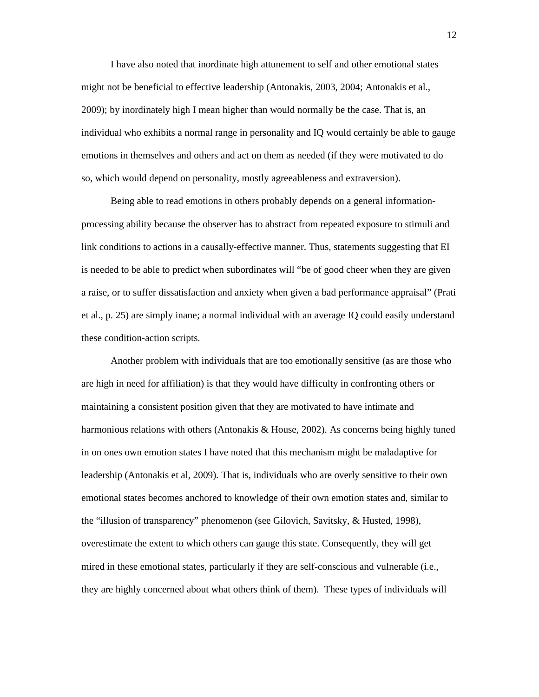I have also noted that inordinate high attunement to self and other emotional states might not be beneficial to effective leadership (Antonakis, 2003, 2004; Antonakis et al., 2009); by inordinately high I mean higher than would normally be the case. That is, an individual who exhibits a normal range in personality and IQ would certainly be able to gauge emotions in themselves and others and act on them as needed (if they were motivated to do so, which would depend on personality, mostly agreeableness and extraversion).

Being able to read emotions in others probably depends on a general informationprocessing ability because the observer has to abstract from repeated exposure to stimuli and link conditions to actions in a causally-effective manner. Thus, statements suggesting that EI is needed to be able to predict when subordinates will "be of good cheer when they are given a raise, or to suffer dissatisfaction and anxiety when given a bad performance appraisal" (Prati et al., p. 25) are simply inane; a normal individual with an average IQ could easily understand these condition-action scripts.

Another problem with individuals that are too emotionally sensitive (as are those who are high in need for affiliation) is that they would have difficulty in confronting others or maintaining a consistent position given that they are motivated to have intimate and harmonious relations with others (Antonakis & House, 2002). As concerns being highly tuned in on ones own emotion states I have noted that this mechanism might be maladaptive for leadership (Antonakis et al, 2009). That is, individuals who are overly sensitive to their own emotional states becomes anchored to knowledge of their own emotion states and, similar to the "illusion of transparency" phenomenon (see Gilovich, Savitsky, & Husted, 1998), overestimate the extent to which others can gauge this state. Consequently, they will get mired in these emotional states, particularly if they are self-conscious and vulnerable (i.e., they are highly concerned about what others think of them). These types of individuals will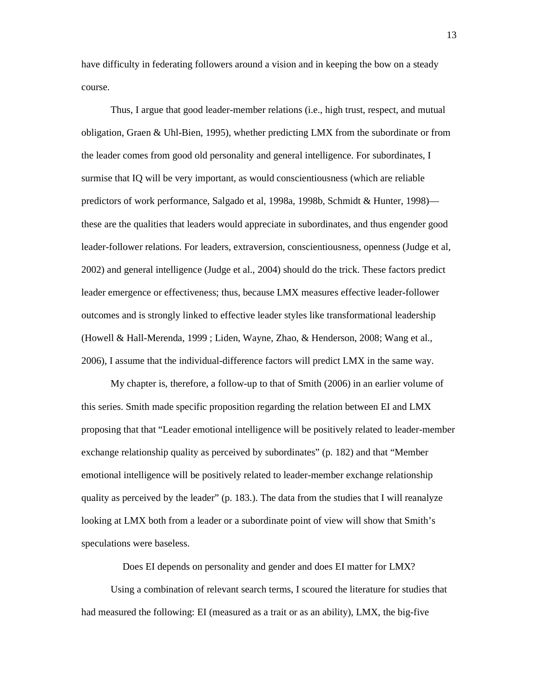have difficulty in federating followers around a vision and in keeping the bow on a steady course.

Thus, I argue that good leader-member relations (i.e., high trust, respect, and mutual obligation, Graen & Uhl-Bien, 1995), whether predicting LMX from the subordinate or from the leader comes from good old personality and general intelligence. For subordinates, I surmise that IQ will be very important, as would conscientiousness (which are reliable predictors of work performance, Salgado et al, 1998a, 1998b, Schmidt & Hunter, 1998) these are the qualities that leaders would appreciate in subordinates, and thus engender good leader-follower relations. For leaders, extraversion, conscientiousness, openness (Judge et al, 2002) and general intelligence (Judge et al., 2004) should do the trick. These factors predict leader emergence or effectiveness; thus, because LMX measures effective leader-follower outcomes and is strongly linked to effective leader styles like transformational leadership (Howell & Hall-Merenda, 1999 ; Liden, Wayne, Zhao, & Henderson, 2008; Wang et al., 2006), I assume that the individual-difference factors will predict LMX in the same way.

My chapter is, therefore, a follow-up to that of Smith (2006) in an earlier volume of this series. Smith made specific proposition regarding the relation between EI and LMX proposing that that "Leader emotional intelligence will be positively related to leader-member exchange relationship quality as perceived by subordinates" (p. 182) and that "Member emotional intelligence will be positively related to leader-member exchange relationship quality as perceived by the leader" (p. 183.). The data from the studies that I will reanalyze looking at LMX both from a leader or a subordinate point of view will show that Smith's speculations were baseless.

Does EI depends on personality and gender and does EI matter for LMX?

 Using a combination of relevant search terms, I scoured the literature for studies that had measured the following: EI (measured as a trait or as an ability), LMX, the big-five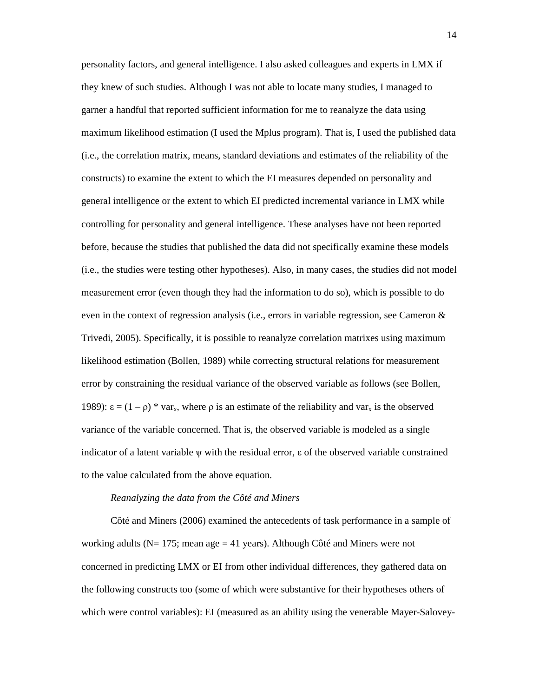personality factors, and general intelligence. I also asked colleagues and experts in LMX if they knew of such studies. Although I was not able to locate many studies, I managed to garner a handful that reported sufficient information for me to reanalyze the data using maximum likelihood estimation (I used the Mplus program). That is, I used the published data (i.e., the correlation matrix, means, standard deviations and estimates of the reliability of the constructs) to examine the extent to which the EI measures depended on personality and general intelligence or the extent to which EI predicted incremental variance in LMX while controlling for personality and general intelligence. These analyses have not been reported before, because the studies that published the data did not specifically examine these models (i.e., the studies were testing other hypotheses). Also, in many cases, the studies did not model measurement error (even though they had the information to do so), which is possible to do even in the context of regression analysis (i.e., errors in variable regression, see Cameron & Trivedi, 2005). Specifically, it is possible to reanalyze correlation matrixes using maximum likelihood estimation (Bollen, 1989) while correcting structural relations for measurement error by constraining the residual variance of the observed variable as follows (see Bollen, 1989):  $\varepsilon = (1 - \rho) * var_x$ , where ρ is an estimate of the reliability and var<sub>x</sub> is the observed variance of the variable concerned. That is, the observed variable is modeled as a single indicator of a latent variable  $\psi$  with the residual error,  $\varepsilon$  of the observed variable constrained to the value calculated from the above equation.

#### *Reanalyzing the data from the Côté and Miners*

Côté and Miners (2006) examined the antecedents of task performance in a sample of working adults ( $N= 175$ ; mean age  $= 41$  years). Although Côté and Miners were not concerned in predicting LMX or EI from other individual differences, they gathered data on the following constructs too (some of which were substantive for their hypotheses others of which were control variables): EI (measured as an ability using the venerable Mayer-Salovey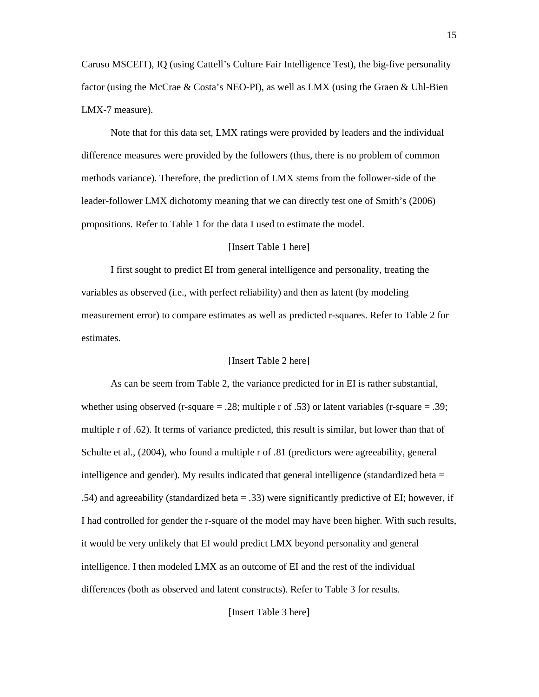Caruso MSCEIT), IQ (using Cattell's Culture Fair Intelligence Test), the big-five personality factor (using the McCrae & Costa's NEO-PI), as well as LMX (using the Graen & Uhl-Bien LMX-7 measure).

Note that for this data set, LMX ratings were provided by leaders and the individual difference measures were provided by the followers (thus, there is no problem of common methods variance). Therefore, the prediction of LMX stems from the follower-side of the leader-follower LMX dichotomy meaning that we can directly test one of Smith's (2006) propositions. Refer to Table 1 for the data I used to estimate the model.

## [Insert Table 1 here]

I first sought to predict EI from general intelligence and personality, treating the variables as observed (i.e., with perfect reliability) and then as latent (by modeling measurement error) to compare estimates as well as predicted r-squares. Refer to Table 2 for estimates.

## [Insert Table 2 here]

 As can be seem from Table 2, the variance predicted for in EI is rather substantial, whether using observed (r-square  $= .28$ ; multiple r of .53) or latent variables (r-square  $= .39$ ; multiple r of .62). It terms of variance predicted, this result is similar, but lower than that of Schulte et al., (2004), who found a multiple r of .81 (predictors were agreeability, general intelligence and gender). My results indicated that general intelligence (standardized beta  $=$ .54) and agreeability (standardized beta = .33) were significantly predictive of EI; however, if I had controlled for gender the r-square of the model may have been higher. With such results, it would be very unlikely that EI would predict LMX beyond personality and general intelligence. I then modeled LMX as an outcome of EI and the rest of the individual differences (both as observed and latent constructs). Refer to Table 3 for results.

[Insert Table 3 here]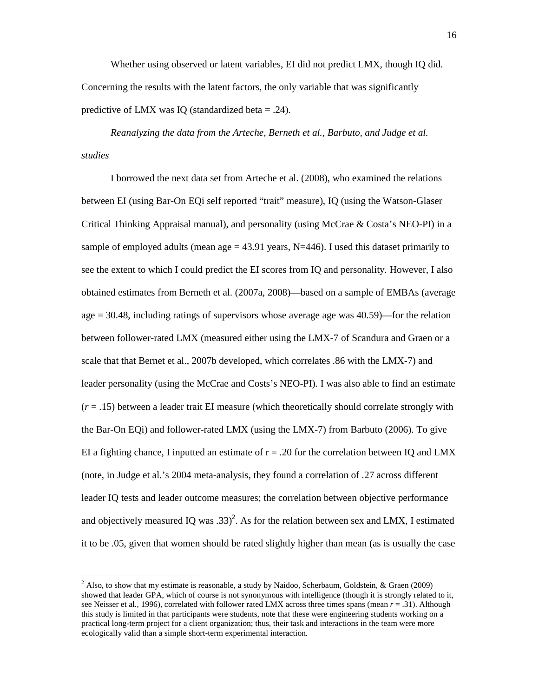Whether using observed or latent variables, EI did not predict LMX, though IQ did. Concerning the results with the latent factors, the only variable that was significantly predictive of LMX was IQ (standardized beta  $= .24$ ).

*Reanalyzing the data from the Arteche, Berneth et al., Barbuto, and Judge et al. studies* 

I borrowed the next data set from Arteche et al. (2008), who examined the relations between EI (using Bar-On EQi self reported "trait" measure), IQ (using the Watson-Glaser Critical Thinking Appraisal manual), and personality (using McCrae & Costa's NEO-PI) in a sample of employed adults (mean age  $= 43.91$  years, N=446). I used this dataset primarily to see the extent to which I could predict the EI scores from IQ and personality. However, I also obtained estimates from Berneth et al. (2007a, 2008)—based on a sample of EMBAs (average age = 30.48, including ratings of supervisors whose average age was 40.59)—for the relation between follower-rated LMX (measured either using the LMX-7 of Scandura and Graen or a scale that that Bernet et al., 2007b developed, which correlates .86 with the LMX-7) and leader personality (using the McCrae and Costs's NEO-PI). I was also able to find an estimate (*r* = .15) between a leader trait EI measure (which theoretically should correlate strongly with the Bar-On EQi) and follower-rated LMX (using the LMX-7) from Barbuto (2006). To give EI a fighting chance, I inputted an estimate of  $r = .20$  for the correlation between IQ and LMX (note, in Judge et al.'s 2004 meta-analysis, they found a correlation of .27 across different leader IQ tests and leader outcome measures; the correlation between objective performance and objectively measured IQ was .33)<sup>2</sup>. As for the relation between sex and LMX, I estimated it to be .05, given that women should be rated slightly higher than mean (as is usually the case

-

<sup>&</sup>lt;sup>2</sup> Also, to show that my estimate is reasonable, a study by Naidoo, Scherbaum, Goldstein, & Graen (2009) showed that leader GPA, which of course is not synonymous with intelligence (though it is strongly related to it, see Neisser et al., 1996), correlated with follower rated LMX across three times spans (mean *r* = .31). Although this study is limited in that participants were students, note that these were engineering students working on a practical long-term project for a client organization; thus, their task and interactions in the team were more ecologically valid than a simple short-term experimental interaction.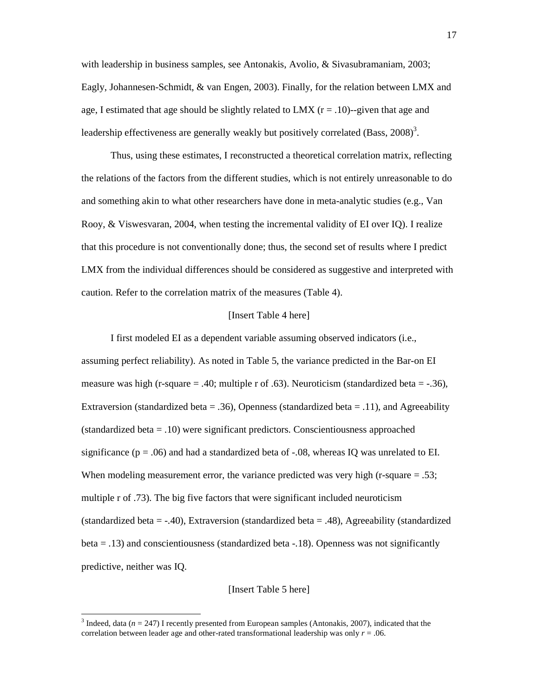with leadership in business samples, see Antonakis, Avolio, & Sivasubramaniam, 2003; Eagly, Johannesen-Schmidt, & van Engen, 2003). Finally, for the relation between LMX and age, I estimated that age should be slightly related to LMX  $(r = .10)$ -given that age and leadership effectiveness are generally weakly but positively correlated (Bass,  $2008$ )<sup>3</sup>.

Thus, using these estimates, I reconstructed a theoretical correlation matrix, reflecting the relations of the factors from the different studies, which is not entirely unreasonable to do and something akin to what other researchers have done in meta-analytic studies (e.g., Van Rooy, & Viswesvaran, 2004, when testing the incremental validity of EI over IQ). I realize that this procedure is not conventionally done; thus, the second set of results where I predict LMX from the individual differences should be considered as suggestive and interpreted with caution. Refer to the correlation matrix of the measures (Table 4).

### [Insert Table 4 here]

I first modeled EI as a dependent variable assuming observed indicators (i.e., assuming perfect reliability). As noted in Table 5, the variance predicted in the Bar-on EI measure was high (r-square  $= .40$ ; multiple r of .63). Neuroticism (standardized beta  $= -.36$ ), Extraversion (standardized beta = .36), Openness (standardized beta = .11), and Agreeability (standardized beta = .10) were significant predictors. Conscientiousness approached significance ( $p = .06$ ) and had a standardized beta of  $-.08$ , whereas IQ was unrelated to EI. When modeling measurement error, the variance predicted was very high (r-square  $= .53$ ; multiple r of .73). The big five factors that were significant included neuroticism (standardized beta  $=$  -.40), Extraversion (standardized beta  $=$  .48), Agreeability (standardized  $beta = .13$ ) and conscientiousness (standardized beta  $-.18$ ). Openness was not significantly predictive, neither was IQ.

## [Insert Table 5 here]

-

<sup>&</sup>lt;sup>3</sup> Indeed, data ( $n = 247$ ) I recently presented from European samples (Antonakis, 2007), indicated that the correlation between leader age and other-rated transformational leadership was only  $r = .06$ .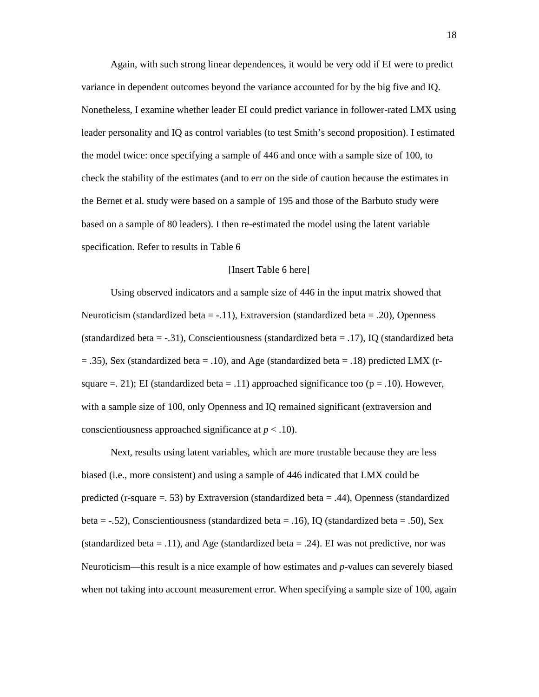Again, with such strong linear dependences, it would be very odd if EI were to predict variance in dependent outcomes beyond the variance accounted for by the big five and IQ. Nonetheless, I examine whether leader EI could predict variance in follower-rated LMX using leader personality and IQ as control variables (to test Smith's second proposition). I estimated the model twice: once specifying a sample of 446 and once with a sample size of 100, to check the stability of the estimates (and to err on the side of caution because the estimates in the Bernet et al. study were based on a sample of 195 and those of the Barbuto study were based on a sample of 80 leaders). I then re-estimated the model using the latent variable specification. Refer to results in Table 6

#### [Insert Table 6 here]

 Using observed indicators and a sample size of 446 in the input matrix showed that Neuroticism (standardized beta =  $-.11$ ), Extraversion (standardized beta = .20), Openness (standardized beta =  $-0.31$ ), Conscientiousness (standardized beta =  $0.17$ ), IQ (standardized beta  $=$  .35), Sex (standardized beta  $=$  .10), and Age (standardized beta  $=$  .18) predicted LMX (rsquare  $=$  21); EI (standardized beta  $=$  .11) approached significance too ( $p = .10$ ). However, with a sample size of 100, only Openness and IQ remained significant (extraversion and conscientiousness approached significance at *p* < .10).

Next, results using latent variables, which are more trustable because they are less biased (i.e., more consistent) and using a sample of 446 indicated that LMX could be predicted (r-square  $=$  53) by Extraversion (standardized beta  $=$  .44), Openness (standardized beta =  $-.52$ ), Conscientiousness (standardized beta =  $.16$ ), IQ (standardized beta =  $.50$ ), Sex (standardized beta = .11), and Age (standardized beta = .24). EI was not predictive, nor was Neuroticism—this result is a nice example of how estimates and *p*-values can severely biased when not taking into account measurement error. When specifying a sample size of 100, again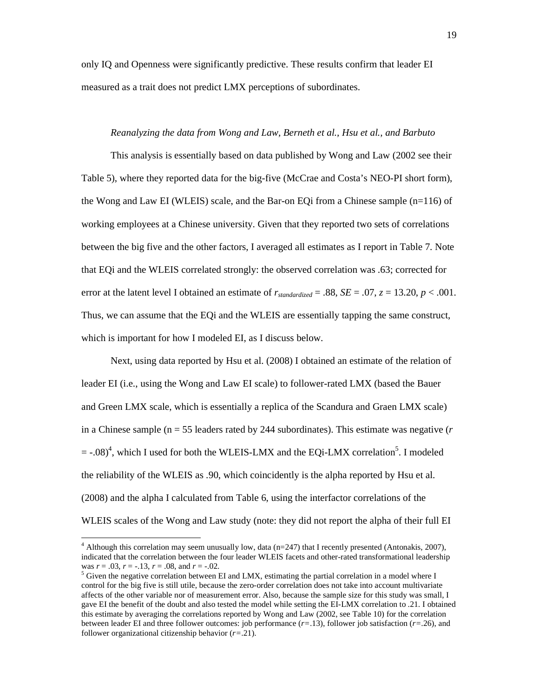only IQ and Openness were significantly predictive. These results confirm that leader EI measured as a trait does not predict LMX perceptions of subordinates.

### *Reanalyzing the data from Wong and Law, Berneth et al., Hsu et al., and Barbuto*

This analysis is essentially based on data published by Wong and Law (2002 see their Table 5), where they reported data for the big-five (McCrae and Costa's NEO-PI short form), the Wong and Law EI (WLEIS) scale, and the Bar-on EQi from a Chinese sample (n=116) of working employees at a Chinese university. Given that they reported two sets of correlations between the big five and the other factors, I averaged all estimates as I report in Table 7. Note that EQi and the WLEIS correlated strongly: the observed correlation was .63; corrected for error at the latent level I obtained an estimate of  $r_{standardized} = .88$ ,  $SE = .07$ ,  $z = 13.20$ ,  $p < .001$ . Thus, we can assume that the EQi and the WLEIS are essentially tapping the same construct, which is important for how I modeled EI, as I discuss below.

Next, using data reported by Hsu et al. (2008) I obtained an estimate of the relation of leader EI (i.e., using the Wong and Law EI scale) to follower-rated LMX (based the Bauer and Green LMX scale, which is essentially a replica of the Scandura and Graen LMX scale) in a Chinese sample (n = 55 leaders rated by 244 subordinates). This estimate was negative (*r*  $=$  -.08)<sup>4</sup>, which I used for both the WLEIS-LMX and the EQi-LMX correlation<sup>5</sup>. I modeled the reliability of the WLEIS as .90, which coincidently is the alpha reported by Hsu et al. (2008) and the alpha I calculated from Table 6, using the interfactor correlations of the WLEIS scales of the Wong and Law study (note: they did not report the alpha of their full EI

-

 $4$  Although this correlation may seem unusually low, data (n=247) that I recently presented (Antonakis, 2007), indicated that the correlation between the four leader WLEIS facets and other-rated transformational leadership was *r* = .03, *r* = -.13, *r* = .08, and *r* = -.02.

 $<sup>5</sup>$  Given the negative correlation between EI and LMX, estimating the partial correlation in a model where I</sup> control for the big five is still utile, because the zero-order correlation does not take into account multivariate affects of the other variable nor of measurement error. Also, because the sample size for this study was small, I gave EI the benefit of the doubt and also tested the model while setting the EI-LMX correlation to .21. I obtained this estimate by averaging the correlations reported by Wong and Law (2002, see Table 10) for the correlation between leader EI and three follower outcomes: job performance (*r=*.13), follower job satisfaction (*r=*.26), and follower organizational citizenship behavior (*r=*.21).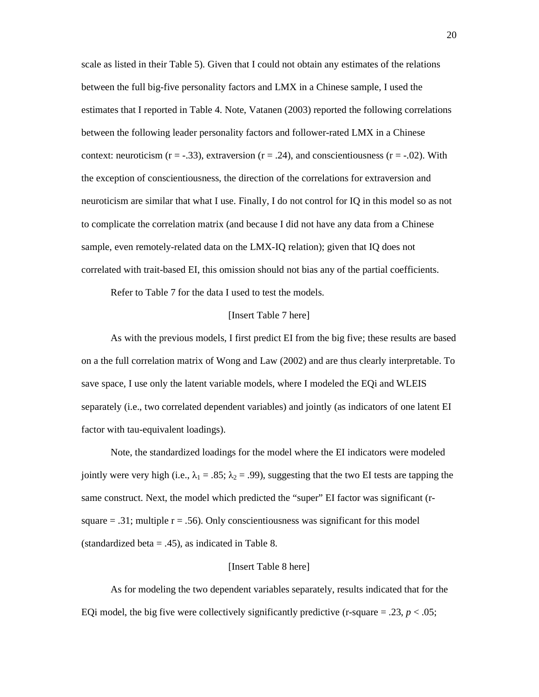scale as listed in their Table 5). Given that I could not obtain any estimates of the relations between the full big-five personality factors and LMX in a Chinese sample, I used the estimates that I reported in Table 4. Note, Vatanen (2003) reported the following correlations between the following leader personality factors and follower-rated LMX in a Chinese context: neuroticism  $(r = -0.33)$ , extraversion  $(r = 0.24)$ , and conscientiousness  $(r = -0.02)$ . With the exception of conscientiousness, the direction of the correlations for extraversion and neuroticism are similar that what I use. Finally, I do not control for IQ in this model so as not to complicate the correlation matrix (and because I did not have any data from a Chinese sample, even remotely-related data on the LMX-IQ relation); given that IQ does not correlated with trait-based EI, this omission should not bias any of the partial coefficients.

Refer to Table 7 for the data I used to test the models.

### [Insert Table 7 here]

As with the previous models, I first predict EI from the big five; these results are based on a the full correlation matrix of Wong and Law (2002) and are thus clearly interpretable. To save space, I use only the latent variable models, where I modeled the EQi and WLEIS separately (i.e., two correlated dependent variables) and jointly (as indicators of one latent EI factor with tau-equivalent loadings).

Note, the standardized loadings for the model where the EI indicators were modeled jointly were very high (i.e.,  $\lambda_1 = .85$ ;  $\lambda_2 = .99$ ), suggesting that the two EI tests are tapping the same construct. Next, the model which predicted the "super" EI factor was significant (rsquare  $= .31$ ; multiple  $r = .56$ ). Only conscientiousness was significant for this model (standardized beta  $= .45$ ), as indicated in Table 8.

### [Insert Table 8 here]

As for modeling the two dependent variables separately, results indicated that for the EQi model, the big five were collectively significantly predictive (r-square  $= .23$ ,  $p < .05$ ;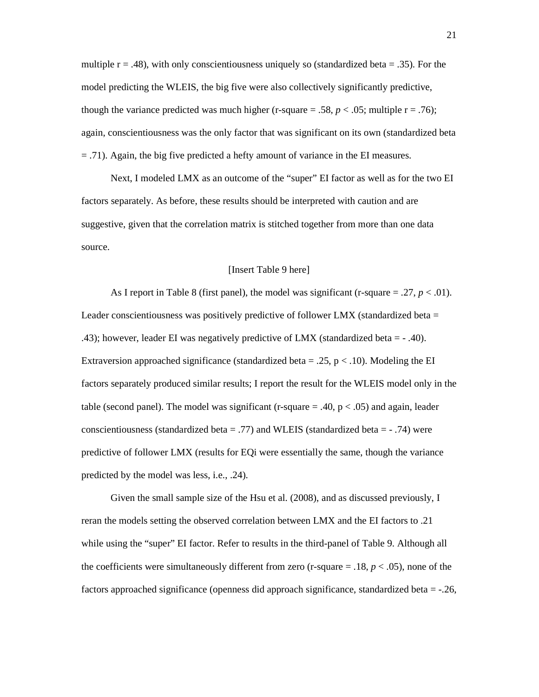multiple  $r = .48$ ), with only conscientiousness uniquely so (standardized beta = .35). For the model predicting the WLEIS, the big five were also collectively significantly predictive, though the variance predicted was much higher (r-square = .58,  $p < .05$ ; multiple r = .76); again, conscientiousness was the only factor that was significant on its own (standardized beta = .71). Again, the big five predicted a hefty amount of variance in the EI measures.

Next, I modeled LMX as an outcome of the "super" EI factor as well as for the two EI factors separately. As before, these results should be interpreted with caution and are suggestive, given that the correlation matrix is stitched together from more than one data source.

#### [Insert Table 9 here]

As I report in Table 8 (first panel), the model was significant (r-square  $= .27, p < .01$ ). Leader conscientiousness was positively predictive of follower LMX (standardized beta  $=$ .43); however, leader EI was negatively predictive of LMX (standardized beta = - .40). Extraversion approached significance (standardized beta = .25,  $p < .10$ ). Modeling the EI factors separately produced similar results; I report the result for the WLEIS model only in the table (second panel). The model was significant (r-square  $= .40, p < .05$ ) and again, leader conscientiousness (standardized beta  $=$  .77) and WLEIS (standardized beta  $=$   $\cdot$  .74) were predictive of follower LMX (results for EQi were essentially the same, though the variance predicted by the model was less, i.e., .24).

Given the small sample size of the Hsu et al. (2008), and as discussed previously, I reran the models setting the observed correlation between LMX and the EI factors to .21 while using the "super" EI factor. Refer to results in the third-panel of Table 9. Although all the coefficients were simultaneously different from zero (r-square  $=$  .18,  $p < .05$ ), none of the factors approached significance (openness did approach significance, standardized beta = -.26,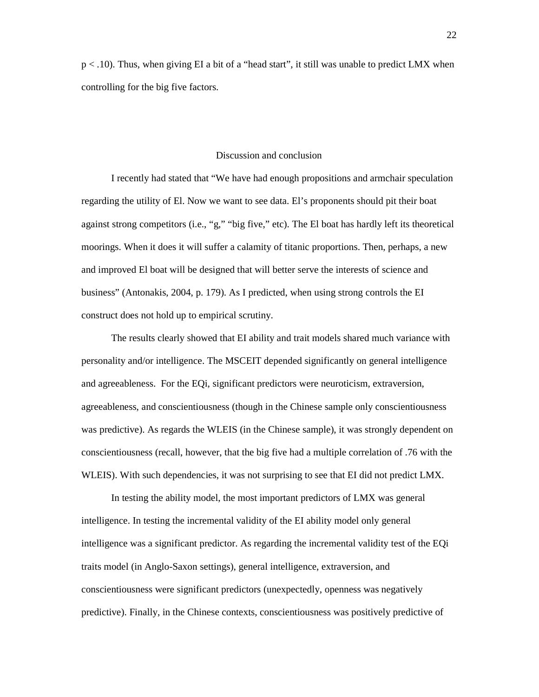p < .10). Thus, when giving EI a bit of a "head start", it still was unable to predict LMX when controlling for the big five factors.

#### Discussion and conclusion

I recently had stated that "We have had enough propositions and armchair speculation regarding the utility of El. Now we want to see data. El's proponents should pit their boat against strong competitors (i.e., "g," "big five," etc). The El boat has hardly left its theoretical moorings. When it does it will suffer a calamity of titanic proportions. Then, perhaps, a new and improved El boat will be designed that will better serve the interests of science and business" (Antonakis, 2004, p. 179). As I predicted, when using strong controls the EI construct does not hold up to empirical scrutiny.

The results clearly showed that EI ability and trait models shared much variance with personality and/or intelligence. The MSCEIT depended significantly on general intelligence and agreeableness. For the EQi, significant predictors were neuroticism, extraversion, agreeableness, and conscientiousness (though in the Chinese sample only conscientiousness was predictive). As regards the WLEIS (in the Chinese sample), it was strongly dependent on conscientiousness (recall, however, that the big five had a multiple correlation of .76 with the WLEIS). With such dependencies, it was not surprising to see that EI did not predict LMX.

In testing the ability model, the most important predictors of LMX was general intelligence. In testing the incremental validity of the EI ability model only general intelligence was a significant predictor. As regarding the incremental validity test of the EQi traits model (in Anglo-Saxon settings), general intelligence, extraversion, and conscientiousness were significant predictors (unexpectedly, openness was negatively predictive). Finally, in the Chinese contexts, conscientiousness was positively predictive of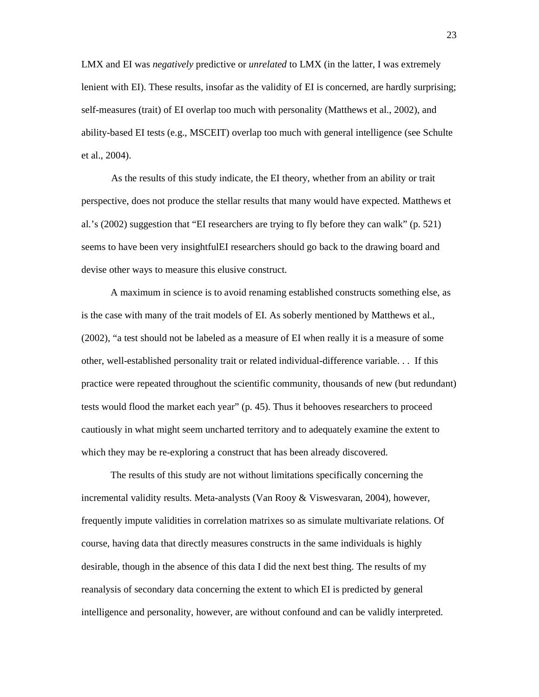LMX and EI was *negatively* predictive or *unrelated* to LMX (in the latter, I was extremely lenient with EI). These results, insofar as the validity of EI is concerned, are hardly surprising; self-measures (trait) of EI overlap too much with personality (Matthews et al., 2002), and ability-based EI tests (e.g., MSCEIT) overlap too much with general intelligence (see Schulte et al., 2004).

As the results of this study indicate, the EI theory, whether from an ability or trait perspective, does not produce the stellar results that many would have expected. Matthews et al.'s (2002) suggestion that "EI researchers are trying to fly before they can walk" (p. 521) seems to have been very insightfulEI researchers should go back to the drawing board and devise other ways to measure this elusive construct.

A maximum in science is to avoid renaming established constructs something else, as is the case with many of the trait models of EI. As soberly mentioned by Matthews et al., (2002), "a test should not be labeled as a measure of EI when really it is a measure of some other, well-established personality trait or related individual-difference variable. . . If this practice were repeated throughout the scientific community, thousands of new (but redundant) tests would flood the market each year" (p. 45). Thus it behooves researchers to proceed cautiously in what might seem uncharted territory and to adequately examine the extent to which they may be re-exploring a construct that has been already discovered.

The results of this study are not without limitations specifically concerning the incremental validity results. Meta-analysts (Van Rooy & Viswesvaran, 2004), however, frequently impute validities in correlation matrixes so as simulate multivariate relations. Of course, having data that directly measures constructs in the same individuals is highly desirable, though in the absence of this data I did the next best thing. The results of my reanalysis of secondary data concerning the extent to which EI is predicted by general intelligence and personality, however, are without confound and can be validly interpreted.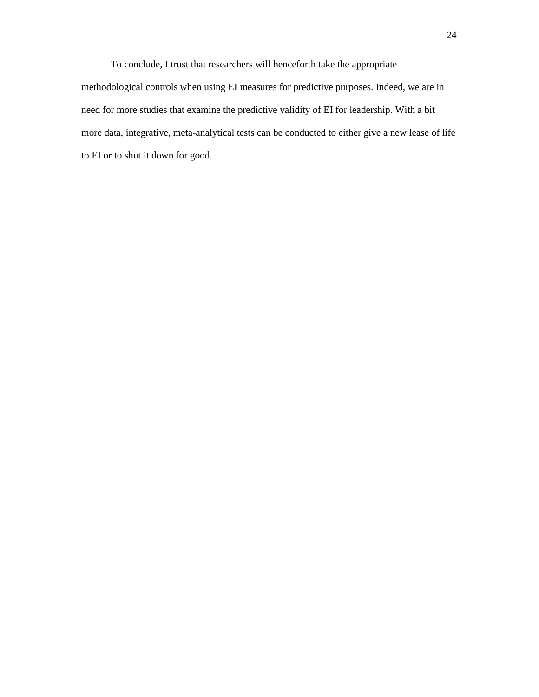To conclude, I trust that researchers will henceforth take the appropriate methodological controls when using EI measures for predictive purposes. Indeed, we are in need for more studies that examine the predictive validity of EI for leadership. With a bit more data, integrative, meta-analytical tests can be conducted to either give a new lease of life to EI or to shut it down for good.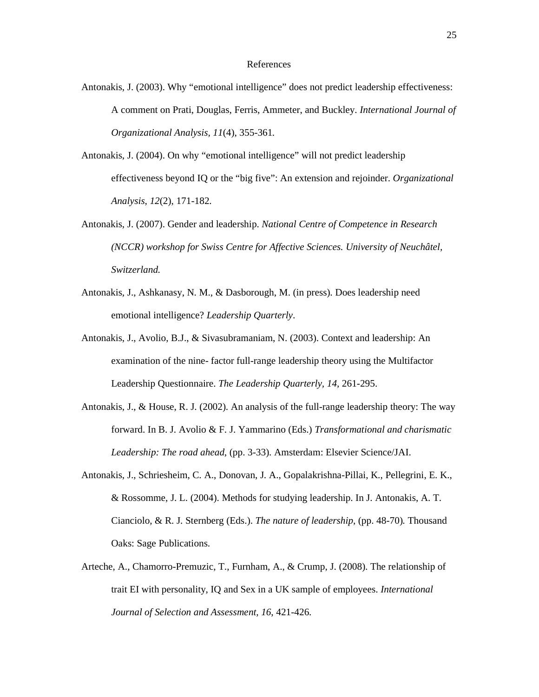### References

- Antonakis, J. (2003). Why "emotional intelligence" does not predict leadership effectiveness: A comment on Prati, Douglas, Ferris, Ammeter, and Buckley. *International Journal of Organizational Analysis, 11*(4), 355-361*.*
- Antonakis, J. (2004). On why "emotional intelligence" will not predict leadership effectiveness beyond IQ or the "big five": An extension and rejoinder. *Organizational Analysis, 12*(2), 171-182.
- Antonakis, J. (2007). Gender and leadership. *National Centre of Competence in Research (NCCR) workshop for Swiss Centre for Affective Sciences. University of Neuchâtel, Switzerland.*
- Antonakis, J., Ashkanasy, N. M., & Dasborough, M. (in press). Does leadership need emotional intelligence? *Leadership Quarterly*.
- Antonakis, J., Avolio, B.J., & Sivasubramaniam, N. (2003). Context and leadership: An examination of the nine- factor full-range leadership theory using the Multifactor Leadership Questionnaire. *The Leadership Quarterly, 14,* 261-295.
- Antonakis, J., & House, R. J. (2002). An analysis of the full-range leadership theory: The way forward. In B. J. Avolio & F. J. Yammarino (Eds.) *Transformational and charismatic Leadership: The road ahead*, (pp. 3-33). Amsterdam: Elsevier Science/JAI.
- Antonakis, J., Schriesheim, C. A., Donovan, J. A., Gopalakrishna-Pillai, K., Pellegrini, E. K., & Rossomme, J. L. (2004). Methods for studying leadership. In J. Antonakis, A. T. Cianciolo, & R. J. Sternberg (Eds.). *The nature of leadership*, (pp. 48-70)*.* Thousand Oaks: Sage Publications.
- Arteche, A., Chamorro-Premuzic, T., Furnham, A., & Crump, J. (2008). The relationship of trait EI with personality, IQ and Sex in a UK sample of employees. *International Journal of Selection and Assessment, 16*, 421-426.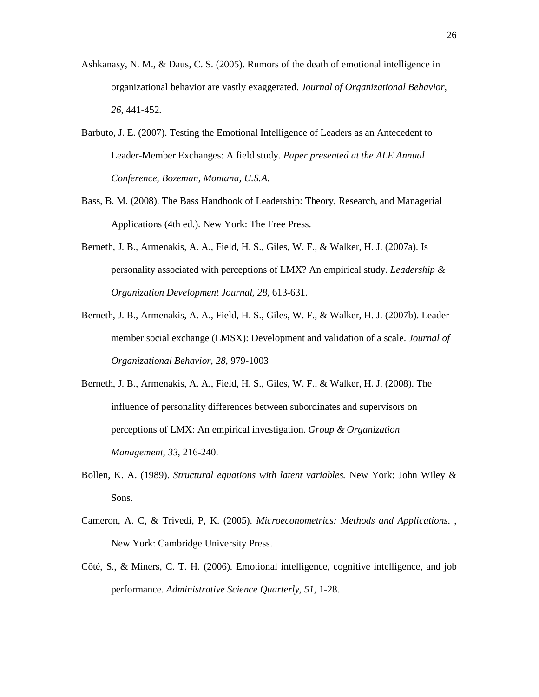- Ashkanasy, N. M., & Daus, C. S. (2005). Rumors of the death of emotional intelligence in organizational behavior are vastly exaggerated. *Journal of Organizational Behavior*, *26*, 441-452.
- Barbuto, J. E. (2007). Testing the Emotional Intelligence of Leaders as an Antecedent to Leader-Member Exchanges: A field study. *Paper presented at the ALE Annual Conference, Bozeman, Montana, U.S.A*.
- Bass, B. M. (2008). The Bass Handbook of Leadership: Theory, Research, and Managerial Applications (4th ed.). New York: The Free Press.
- Berneth, J. B., Armenakis, A. A., Field, H. S., Giles, W. F., & Walker, H. J. (2007a). Is personality associated with perceptions of LMX? An empirical study. *Leadership & Organization Development Journal, 28,* 613-631.
- Berneth, J. B., Armenakis, A. A., Field, H. S., Giles, W. F., & Walker, H. J. (2007b). Leadermember social exchange (LMSX): Development and validation of a scale. *Journal of Organizational Behavior, 28*, 979-1003
- Berneth, J. B., Armenakis, A. A., Field, H. S., Giles, W. F., & Walker, H. J. (2008). The influence of personality differences between subordinates and supervisors on perceptions of LMX: An empirical investigation. *Group & Organization Management, 33*, 216-240.
- Bollen, K. A. (1989). *Structural equations with latent variables.* New York: John Wiley & Sons.
- Cameron, A. C, & Trivedi, P, K. (2005). *Microeconometrics: Methods and Applications*. , New York: Cambridge University Press.
- Côté, S., & Miners, C. T. H. (2006). Emotional intelligence, cognitive intelligence, and job performance. *Administrative Science Quarterly, 51*, 1-28.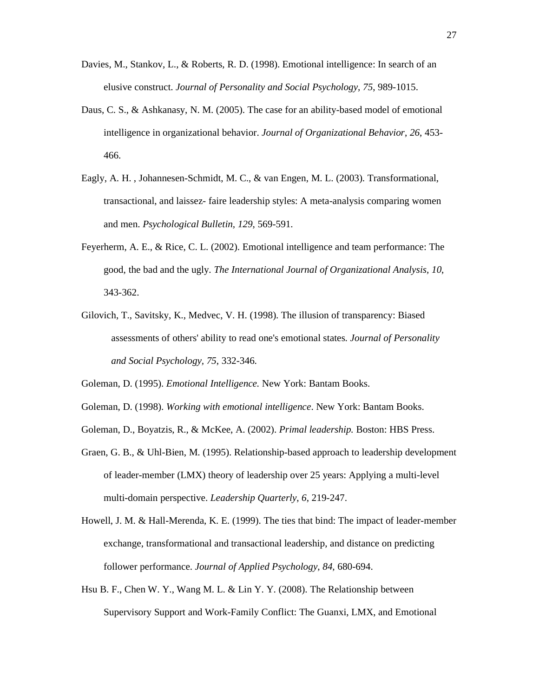- Davies, M., Stankov, L., & Roberts, R. D. (1998). Emotional intelligence: In search of an elusive construct. *Journal of Personality and Social Psychology, 75*, 989-1015.
- Daus, C. S., & Ashkanasy, N. M. (2005). The case for an ability-based model of emotional intelligence in organizational behavior. *Journal of Organizational Behavior*, *26*, 453- 466.
- Eagly, A. H. , Johannesen-Schmidt, M. C., & van Engen, M. L. (2003). Transformational, transactional, and laissez- faire leadership styles: A meta-analysis comparing women and men. *Psychological Bulletin, 129*, 569-591.
- Feyerherm, A. E., & Rice, C. L. (2002). Emotional intelligence and team performance: The good, the bad and the ugly*. The International Journal of Organizational Analysis, 10*, 343-362.
- Gilovich, T., Savitsky, K., Medvec, V. H. (1998). The illusion of transparency: Biased assessments of others' ability to read one's emotional states. *Journal of Personality and Social Psychology, 75*, 332-346.
- Goleman, D. (1995). *Emotional Intelligence.* New York: Bantam Books.
- Goleman, D. (1998). *Working with emotional intelligence*. New York: Bantam Books.
- Goleman, D., Boyatzis, R., & McKee, A. (2002). *Primal leadership.* Boston: HBS Press.
- Graen, G. B., & Uhl-Bien, M. (1995). Relationship-based approach to leadership development of leader-member (LMX) theory of leadership over 25 years: Applying a multi-level multi-domain perspective. *Leadership Quarterly*, *6*, 219-247.
- Howell, J. M. & Hall-Merenda, K. E. (1999). The ties that bind: The impact of leader-member exchange, transformational and transactional leadership, and distance on predicting follower performance. *Journal of Applied Psychology, 84,* 680-694.
- Hsu B. F., Chen W. Y., Wang M. L. & Lin Y. Y. (2008). The Relationship between Supervisory Support and Work-Family Conflict: The Guanxi, LMX, and Emotional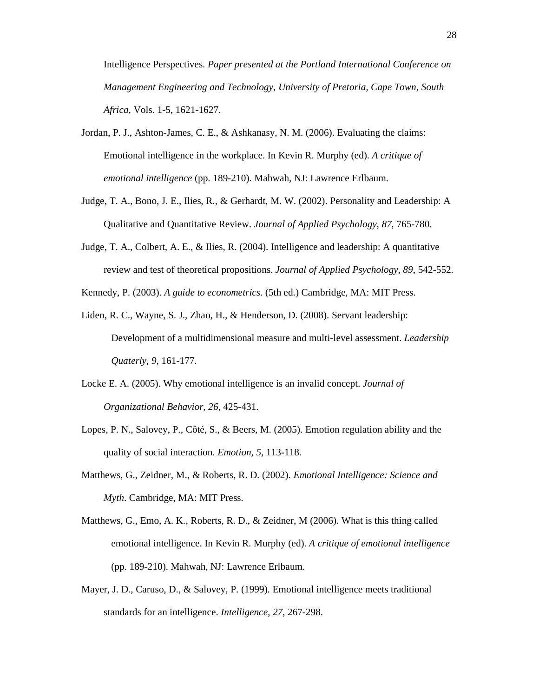Intelligence Perspectives. *Paper presented at the Portland International Conference on Management Engineering and Technology, University of Pretoria, Cape Town, South Africa*, Vols. 1-5, 1621-1627.

- Jordan, P. J., Ashton-James, C. E., & Ashkanasy, N. M. (2006). Evaluating the claims: Emotional intelligence in the workplace. In Kevin R. Murphy (ed). *A critique of emotional intelligence* (pp. 189-210). Mahwah, NJ: Lawrence Erlbaum.
- Judge, T. A., Bono, J. E., Ilies, R., & Gerhardt, M. W. (2002). Personality and Leadership: A Qualitative and Quantitative Review. *Journal of Applied Psychology, 87*, 765-780.
- Judge, T. A., Colbert, A. E., & Ilies, R. (2004). Intelligence and leadership: A quantitative review and test of theoretical propositions. *Journal of Applied Psychology, 89*, 542-552.
- Kennedy, P. (2003). *A guide to econometrics*. (5th ed.) Cambridge, MA: MIT Press.
- Liden, R. C., Wayne, S. J., Zhao, H., & Henderson, D. (2008). Servant leadership: Development of a multidimensional measure and multi-level assessment. *Leadership Quaterly, 9,* 161-177.
- Locke E. A. (2005). Why emotional intelligence is an invalid concept. *Journal of Organizational Behavior*, *26*, 425-431.
- Lopes, P. N., Salovey, P., Côté, S., & Beers, M. (2005). Emotion regulation ability and the quality of social interaction. *Emotion, 5*, 113-118.
- Matthews, G., Zeidner, M., & Roberts, R. D. (2002). *Emotional Intelligence: Science and Myth*. Cambridge, MA: MIT Press.
- Matthews, G., Emo, A. K., Roberts, R. D., & Zeidner, M (2006). What is this thing called emotional intelligence. In Kevin R. Murphy (ed). *A critique of emotional intelligence*  (pp. 189-210). Mahwah, NJ: Lawrence Erlbaum.
- Mayer, J. D., Caruso, D., & Salovey, P. (1999). Emotional intelligence meets traditional standards for an intelligence. *Intelligence, 27*, 267-298.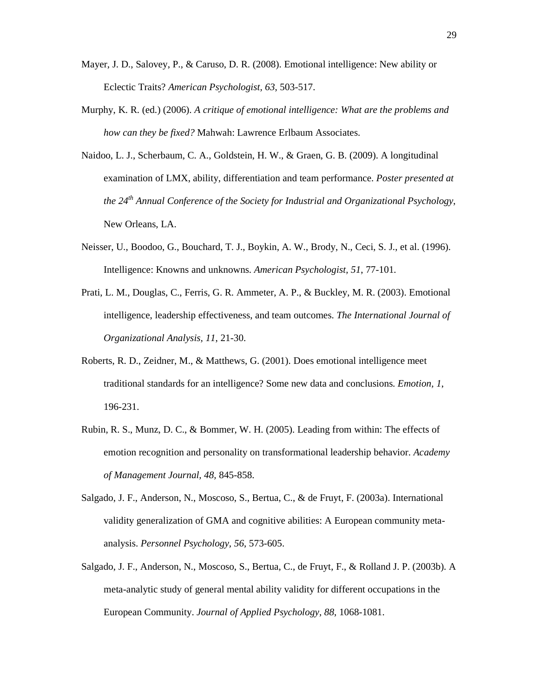- Mayer, J. D., Salovey, P., & Caruso, D. R. (2008). Emotional intelligence: New ability or Eclectic Traits? *American Psychologist, 63*, 503-517.
- Murphy, K. R. (ed.) (2006). *A critique of emotional intelligence: What are the problems and how can they be fixed?* Mahwah: Lawrence Erlbaum Associates.
- Naidoo, L. J., Scherbaum, C. A., Goldstein, H. W., & Graen, G. B. (2009). A longitudinal examination of LMX, ability, differentiation and team performance. *Poster presented at the 24th Annual Conference of the Society for Industrial and Organizational Psychology*, New Orleans, LA.
- Neisser, U., Boodoo, G., Bouchard, T. J., Boykin, A. W., Brody, N., Ceci, S. J., et al. (1996). Intelligence: Knowns and unknowns. *American Psychologist, 51*, 77-101.
- Prati, L. M., Douglas, C., Ferris, G. R. Ammeter, A. P., & Buckley, M. R. (2003). Emotional intelligence, leadership effectiveness, and team outcomes. *The International Journal of Organizational Analysis, 11*, 21-30.
- Roberts, R. D., Zeidner, M., & Matthews, G. (2001). Does emotional intelligence meet traditional standards for an intelligence? Some new data and conclusions. *Emotion, 1*, 196-231.
- Rubin, R. S., Munz, D. C., & Bommer, W. H. (2005). Leading from within: The effects of emotion recognition and personality on transformational leadership behavior. *Academy of Management Journal, 48,* 845-858.
- Salgado, J. F., Anderson, N., Moscoso, S., Bertua, C., & de Fruyt, F. (2003a). International validity generalization of GMA and cognitive abilities: A European community metaanalysis. *Personnel Psychology, 56*, 573-605.
- Salgado, J. F., Anderson, N., Moscoso, S., Bertua, C., de Fruyt, F., & Rolland J. P. (2003b). A meta-analytic study of general mental ability validity for different occupations in the European Community. *Journal of Applied Psychology, 88*, 1068-1081.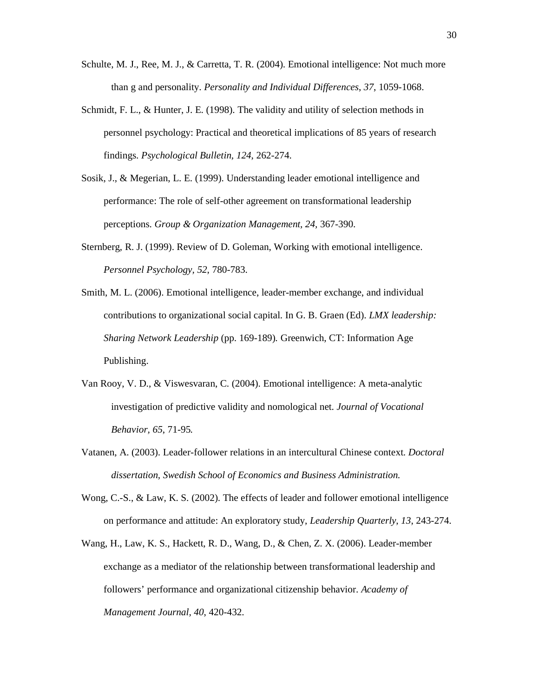- Schulte, M. J., Ree, M. J., & Carretta, T. R. (2004). Emotional intelligence: Not much more than g and personality. *Personality and Individual Differences*, *37*, 1059-1068.
- Schmidt, F. L., & Hunter, J. E. (1998). The validity and utility of selection methods in personnel psychology: Practical and theoretical implications of 85 years of research findings. *Psychological Bulletin, 124*, 262-274.
- Sosik, J., & Megerian, L. E. (1999). Understanding leader emotional intelligence and performance: The role of self-other agreement on transformational leadership perceptions. *Group & Organization Management, 24,* 367-390.
- Sternberg, R. J. (1999). Review of D. Goleman, Working with emotional intelligence. *Personnel Psychology, 52*, 780-783.
- Smith, M. L. (2006). Emotional intelligence, leader-member exchange, and individual contributions to organizational social capital. In G. B. Graen (Ed). *LMX leadership: Sharing Network Leadership* (pp. 169-189)*.* Greenwich, CT: Information Age Publishing.
- Van Rooy, V. D., & Viswesvaran, C. (2004). Emotional intelligence: A meta-analytic investigation of predictive validity and nomological net. *Journal of Vocational Behavior, 65*, 71-95*.*
- Vatanen, A. (2003). Leader-follower relations in an intercultural Chinese context. *Doctoral dissertation, Swedish School of Economics and Business Administration.*
- Wong, C.-S., & Law, K. S. (2002). The effects of leader and follower emotional intelligence on performance and attitude: An exploratory study, *Leadership Quarterly*, *13*, 243-274.
- Wang, H., Law, K. S., Hackett, R. D., Wang, D., & Chen, Z. X. (2006). Leader-member exchange as a mediator of the relationship between transformational leadership and followers' performance and organizational citizenship behavior. *Academy of Management Journal, 40*, 420-432.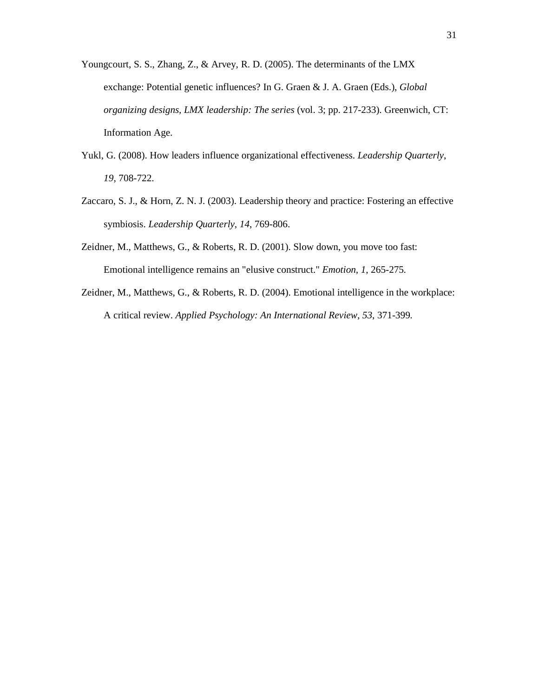- Youngcourt, S. S., Zhang, Z., & Arvey, R. D. (2005). The determinants of the LMX exchange: Potential genetic influences? In G. Graen & J. A. Graen (Eds.), *Global organizing designs, LMX leadership: The series* (vol. 3; pp. 217-233). Greenwich, CT: Information Age.
- Yukl, G. (2008). How leaders influence organizational effectiveness. *Leadership Quarterly*, *19*, 708-722.
- Zaccaro, S. J., & Horn, Z. N. J. (2003). Leadership theory and practice: Fostering an effective symbiosis. *Leadership Quarterly, 14*, 769-806.
- Zeidner, M., Matthews, G., & Roberts, R. D. (2001). Slow down, you move too fast: Emotional intelligence remains an "elusive construct." *Emotion, 1*, 265-275*.*
- Zeidner, M., Matthews, G., & Roberts, R. D. (2004). Emotional intelligence in the workplace: A critical review. *Applied Psychology: An International Review, 53*, 371-399*.*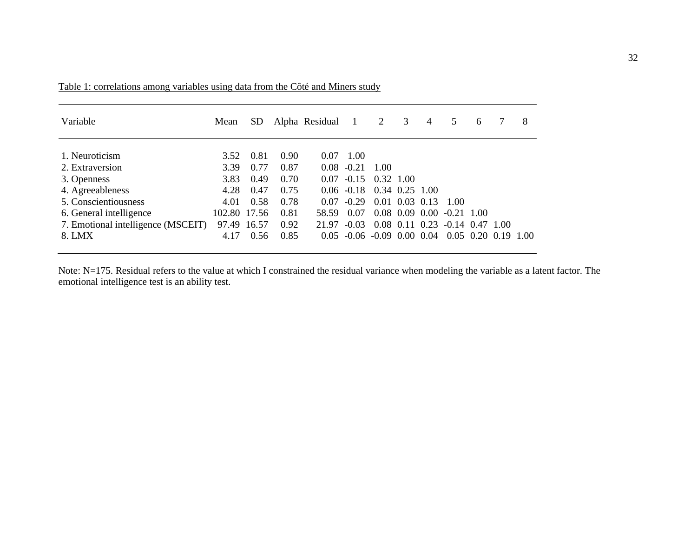| Variable                           | Mean         | <b>SD</b> |      | Alpha Residual 1 |                               | $\overline{2}$     | 3                | $\overline{4}$ | 5                 | 6 |                       | 8 |
|------------------------------------|--------------|-----------|------|------------------|-------------------------------|--------------------|------------------|----------------|-------------------|---|-----------------------|---|
| 1. Neuroticism                     | 3.52         | 0.81      | 0.90 | 0.07             | 1.00                          |                    |                  |                |                   |   |                       |   |
| 2. Extraversion                    | 3.39         | 0.77      | 0.87 | 0.08             | $-0.21$                       | 1.00               |                  |                |                   |   |                       |   |
| 3. Openness                        | 3.83         | 0.49      | 0.70 | 0.07             | $-0.15$                       | 0.32 1.00          |                  |                |                   |   |                       |   |
| 4. Agreeableness                   | 4.28         | 0.47      | 0.75 |                  | $0.06 - 0.18$                 | $0.34$ $0.25$ 1.00 |                  |                |                   |   |                       |   |
| 5. Conscientiousness               | 4.01         | 0.58      | 0.78 | 0.07             | $-0.29$                       |                    | $0.01$ 0.03 0.13 |                | -1.00             |   |                       |   |
| 6. General intelligence            | 102.80 17.56 |           | 0.81 | 58.59            | 0.07                          |                    | $0.08$ 0.09 0.00 |                | $-0.21$ 1.00      |   |                       |   |
| 7. Emotional intelligence (MSCEIT) | 97.49        | 16.57     | 0.92 | 21.97            | $-0.03$                       |                    | 0.08 0.11 0.23   |                | $-0.14$ 0.47 1.00 |   |                       |   |
| 8. LMX                             | 4.17         | 0.56      | 0.85 | 0.05             | $-0.06$ $-0.09$ $0.00$ $0.04$ |                    |                  |                |                   |   | $0.05$ 0.20 0.19 1.00 |   |

Table 1: correlations among variables using data from the Côté and Miners study

Note: N=175. Residual refers to the value at which I constrained the residual variance when modeling the variable as a latent factor. The emotional intelligence test is an ability test.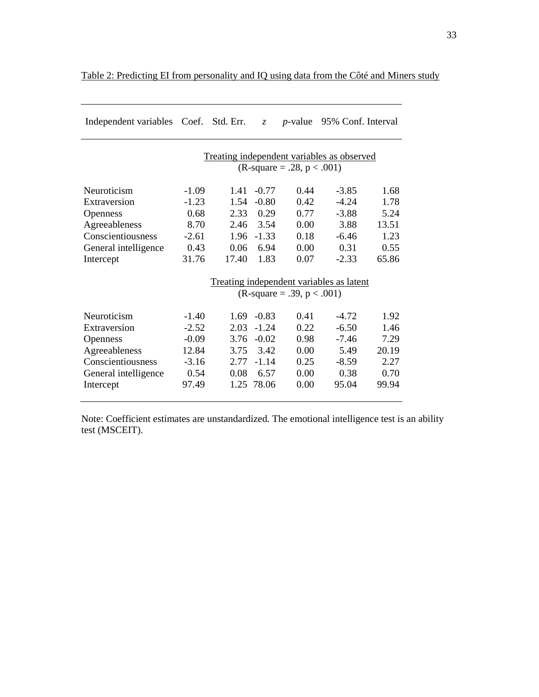| Independent variables Coef. Std. Err.                                       |         |       | $Z_{\cdot}$ | <i>p</i> -value                     | 95% Conf. Interval                       |       |  |  |  |  |  |
|-----------------------------------------------------------------------------|---------|-------|-------------|-------------------------------------|------------------------------------------|-------|--|--|--|--|--|
| Treating independent variables as observed<br>(R-square = .28, $p < .001$ ) |         |       |             |                                     |                                          |       |  |  |  |  |  |
| Neuroticism                                                                 | $-1.09$ | 1.41  | $-0.77$     | 0.44                                | $-3.85$                                  | 1.68  |  |  |  |  |  |
| Extraversion                                                                | $-1.23$ | 1.54  | $-0.80$     | 0.42                                | $-4.24$                                  | 1.78  |  |  |  |  |  |
| <b>Openness</b>                                                             | 0.68    | 2.33  | 0.29        | 0.77                                | $-3.88$                                  | 5.24  |  |  |  |  |  |
| Agreeableness                                                               | 8.70    | 2.46  | 3.54        | 0.00                                | 3.88                                     | 13.51 |  |  |  |  |  |
| Conscientiousness                                                           | $-2.61$ | 1.96  | $-1.33$     | 0.18                                | $-6.46$                                  | 1.23  |  |  |  |  |  |
| General intelligence                                                        | 0.43    | 0.06  | 6.94        | 0.00                                | 0.31                                     | 0.55  |  |  |  |  |  |
| Intercept                                                                   | 31.76   | 17.40 | 1.83        | 0.07                                | $-2.33$                                  | 65.86 |  |  |  |  |  |
|                                                                             |         |       |             |                                     | Treating independent variables as latent |       |  |  |  |  |  |
|                                                                             |         |       |             | $(R\text{-}square = .39, p < .001)$ |                                          |       |  |  |  |  |  |
| Neuroticism                                                                 | $-1.40$ | 1.69  | $-0.83$     | 0.41                                | $-4.72$                                  | 1.92  |  |  |  |  |  |
| Extraversion                                                                | $-2.52$ | 2.03  | $-1.24$     | 0.22                                | $-6.50$                                  | 1.46  |  |  |  |  |  |
| <b>Openness</b>                                                             | $-0.09$ | 3.76  | $-0.02$     | 0.98                                | $-7.46$                                  | 7.29  |  |  |  |  |  |
| Agreeableness                                                               | 12.84   | 3.75  | 3.42        | 0.00                                | 5.49                                     | 20.19 |  |  |  |  |  |
| Conscientiousness                                                           | $-3.16$ | 2.77  | $-1.14$     | 0.25                                | $-8.59$                                  | 2.27  |  |  |  |  |  |
| General intelligence                                                        | 0.54    | 0.08  | 6.57        | 0.00                                | 0.38                                     | 0.70  |  |  |  |  |  |
| Intercept                                                                   | 97.49   | 1.25  | 78.06       | 0.00                                | 95.04                                    | 99.94 |  |  |  |  |  |

# Table 2: Predicting EI from personality and IQ using data from the Côté and Miners study

Note: Coefficient estimates are unstandardized. The emotional intelligence test is an ability test (MSCEIT).

 $\overline{\phantom{a}}$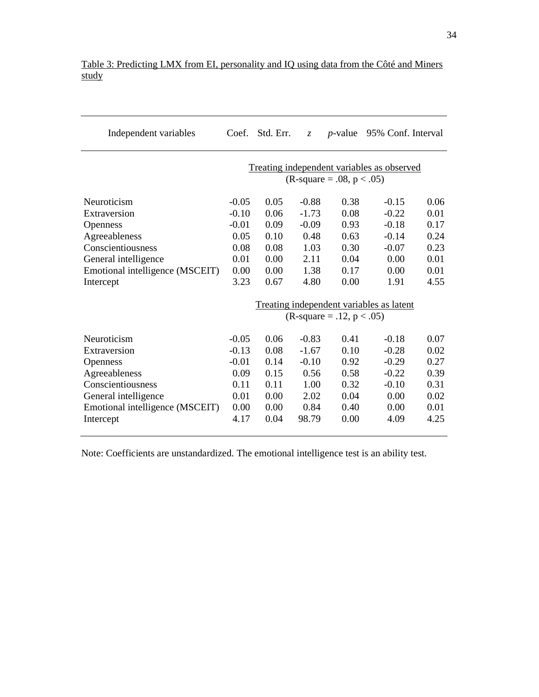| Independent variables                                                                                                                                        | Coef.                                                                            | Std. Err.                                                    | $Z_{\cdot}$                                                            | <i>p</i> -value                                              | 95% Conf. Interval                                                          |                                                              |  |  |
|--------------------------------------------------------------------------------------------------------------------------------------------------------------|----------------------------------------------------------------------------------|--------------------------------------------------------------|------------------------------------------------------------------------|--------------------------------------------------------------|-----------------------------------------------------------------------------|--------------------------------------------------------------|--|--|
|                                                                                                                                                              | Treating independent variables as observed<br>$(R\text{-}square = .08, p < .05)$ |                                                              |                                                                        |                                                              |                                                                             |                                                              |  |  |
| Neuroticism<br>Extraversion<br>Openness<br>Agreeableness<br>Conscientiousness<br>General intelligence<br>Emotional intelligence (MSCEIT)<br>Intercept        | $-0.05$<br>$-0.10$<br>$-0.01$<br>0.05<br>0.08<br>0.01<br>0.00<br>3.23            | 0.05<br>0.06<br>0.09<br>0.10<br>0.08<br>0.00<br>0.00<br>0.67 | $-0.88$<br>$-1.73$<br>$-0.09$<br>0.48<br>1.03<br>2.11<br>1.38<br>4.80  | 0.38<br>0.08<br>0.93<br>0.63<br>0.30<br>0.04<br>0.17<br>0.00 | $-0.15$<br>$-0.22$<br>$-0.18$<br>$-0.14$<br>$-0.07$<br>0.00<br>0.00<br>1.91 | 0.06<br>0.01<br>0.17<br>0.24<br>0.23<br>0.01<br>0.01<br>4.55 |  |  |
|                                                                                                                                                              |                                                                                  |                                                              |                                                                        | (R-square = .12, $p < .05$ )                                 | Treating independent variables as latent                                    |                                                              |  |  |
| Neuroticism<br>Extraversion<br><b>Openness</b><br>Agreeableness<br>Conscientiousness<br>General intelligence<br>Emotional intelligence (MSCEIT)<br>Intercept | $-0.05$<br>$-0.13$<br>$-0.01$<br>0.09<br>0.11<br>0.01<br>0.00<br>4.17            | 0.06<br>0.08<br>0.14<br>0.15<br>0.11<br>0.00<br>0.00<br>0.04 | $-0.83$<br>$-1.67$<br>$-0.10$<br>0.56<br>1.00<br>2.02<br>0.84<br>98.79 | 0.41<br>0.10<br>0.92<br>0.58<br>0.32<br>0.04<br>0.40<br>0.00 | $-0.18$<br>$-0.28$<br>$-0.29$<br>$-0.22$<br>$-0.10$<br>0.00<br>0.00<br>4.09 | 0.07<br>0.02<br>0.27<br>0.39<br>0.31<br>0.02<br>0.01<br>4.25 |  |  |

# Table 3: Predicting LMX from EI, personality and IQ using data from the Côté and Miners study

Note: Coefficients are unstandardized. The emotional intelligence test is an ability test.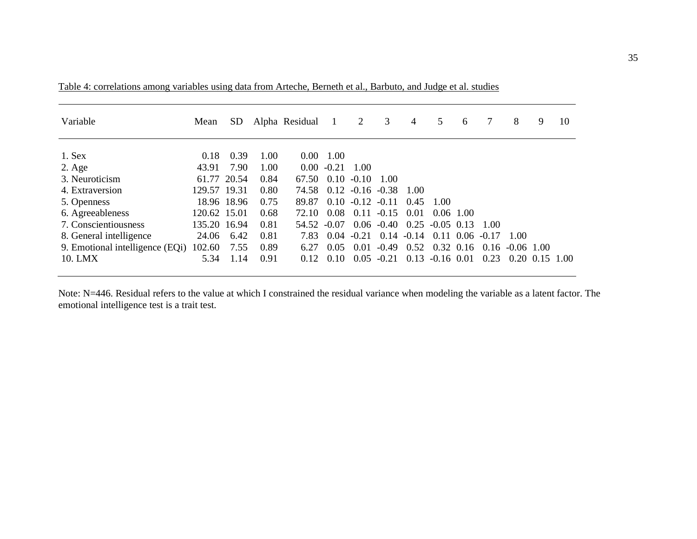| Variable                        | Mean         | SD.         |      | Alpha Residual |         | 2       | 3                                  | 4             | 5                  | 6                 |         | 8            | 9                            | 10 |
|---------------------------------|--------------|-------------|------|----------------|---------|---------|------------------------------------|---------------|--------------------|-------------------|---------|--------------|------------------------------|----|
| $1.$ Sex                        | 0.18         | 0.39        | 1.00 | $0.00^{\circ}$ | 1.00    |         |                                    |               |                    |                   |         |              |                              |    |
| $2. \text{Age}$                 | 43.91        | 7.90        | 1.00 | $0.00^{\circ}$ | $-0.21$ | 1.00    |                                    |               |                    |                   |         |              |                              |    |
| 3. Neuroticism                  |              | 61.77 20.54 | 0.84 | 67.50          | 0.10    | $-0.10$ | 1.00                               |               |                    |                   |         |              |                              |    |
| 4. Extraversion                 | 129.57 19.31 |             | 0.80 | 74.58          |         |         | $0.12 - 0.16 - 0.38$               | 1.00          |                    |                   |         |              |                              |    |
| 5. Openness                     |              | 18.96 18.96 | 0.75 | 89.87          |         |         | $0.10 - 0.12 - 0.11$               | 0.45          | -1.00              |                   |         |              |                              |    |
| 6. Agreeableness                | 120.62 15.01 |             | 0.68 | 72.10          | 0.08    | 0.11    | $-0.15$                            | 0.01          | 0.06, 1.00         |                   |         |              |                              |    |
| 7. Conscientiousness            | 135.20 16.94 |             | 0.81 | 54.52          | $-0.07$ |         | $0.06 - 0.40$ $0.25 - 0.05$ $0.13$ |               |                    |                   | 1.00    |              |                              |    |
| 8. General intelligence         | 24.06        | 6.42        | 0.81 | 7.83           | 0.04    | $-0.21$ |                                    | $0.14 - 0.14$ |                    | $0.11 \cdot 0.06$ | $-0.17$ | 1.00         |                              |    |
| 9. Emotional intelligence (EQi) | 102.60       | 7.55        | 0.89 | 6.27           | 0.05    | 0.01    | $-0.49$                            | 0.52          |                    | $0.32 \; 0.16$    | 0.16    | $-0.06$ 1.00 |                              |    |
| 10. LMX                         | 5.34         | 1.14        | 0.91 | 0.12           | 0.10    |         | $0.05 - 0.21$                      |               | $0.13 - 0.16$ 0.01 |                   | 0.23    |              | $0.20 \quad 0.15 \quad 1.00$ |    |

Table 4: correlations among variables using data from Arteche, Berneth et al., Barbuto, and Judge et al. studies

Note: N=446. Residual refers to the value at which I constrained the residual variance when modeling the variable as a latent factor. The emotional intelligence test is a trait test.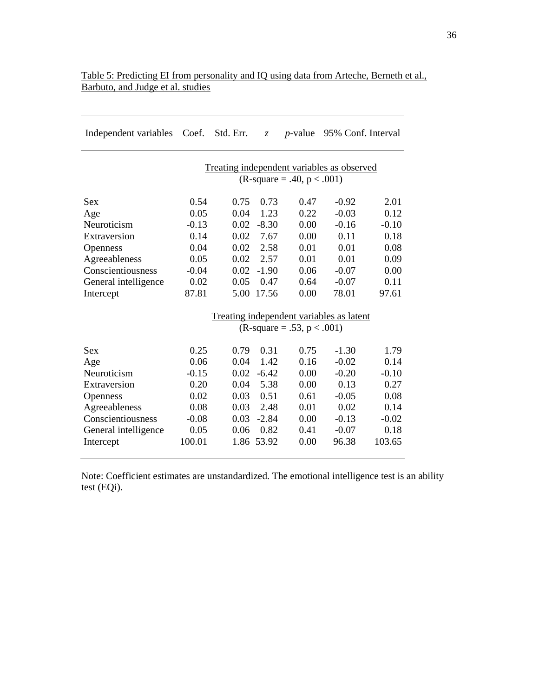| Independent variables | Coef.                                                                             | Std. Err. | Z.      | $p$ -value |         | 95% Conf. Interval |  |  |  |  |  |
|-----------------------|-----------------------------------------------------------------------------------|-----------|---------|------------|---------|--------------------|--|--|--|--|--|
|                       | Treating independent variables as observed<br>$(R\text{-}square = .40, p < .001)$ |           |         |            |         |                    |  |  |  |  |  |
| <b>Sex</b>            | 0.54                                                                              | 0.75      | 0.73    | 0.47       | $-0.92$ | 2.01               |  |  |  |  |  |
| Age                   | 0.05                                                                              | 0.04      | 1.23    | 0.22       | $-0.03$ | 0.12               |  |  |  |  |  |
| Neuroticism           | $-0.13$                                                                           | 0.02      | $-8.30$ | 0.00       | $-0.16$ | $-0.10$            |  |  |  |  |  |
| Extraversion          | 0.14                                                                              | 0.02      | 7.67    | 0.00       | 0.11    | 0.18               |  |  |  |  |  |
| <b>Openness</b>       | 0.04                                                                              | 0.02      | 2.58    | 0.01       | 0.01    | 0.08               |  |  |  |  |  |
| Agreeableness         | 0.05                                                                              | 0.02      | 2.57    | 0.01       | 0.01    | 0.09               |  |  |  |  |  |
| Conscientiousness     | $-0.04$                                                                           | 0.02      | $-1.90$ | 0.06       | $-0.07$ | 0.00               |  |  |  |  |  |
| General intelligence  | 0.02                                                                              | 0.05      | 0.47    | 0.64       | $-0.07$ | 0.11               |  |  |  |  |  |
| Intercept             | 87.81                                                                             | 5.00      | 17.56   | 0.00       | 78.01   | 97.61              |  |  |  |  |  |
|                       | Treating independent variables as latent<br>$(R\text{-}square = .53, p < .001)$   |           |         |            |         |                    |  |  |  |  |  |
| <b>Sex</b>            | 0.25                                                                              | 0.79      | 0.31    | 0.75       | $-1.30$ | 1.79               |  |  |  |  |  |
| Age                   | 0.06                                                                              | 0.04      | 1.42    | 0.16       | $-0.02$ | 0.14               |  |  |  |  |  |
| Neuroticism           | $-0.15$                                                                           | 0.02      | $-6.42$ | 0.00       | $-0.20$ | $-0.10$            |  |  |  |  |  |
| Extraversion          | 0.20                                                                              | 0.04      | 5.38    | 0.00       | 0.13    | 0.27               |  |  |  |  |  |
| <b>Openness</b>       | 0.02                                                                              | 0.03      | 0.51    | 0.61       | $-0.05$ | 0.08               |  |  |  |  |  |
| Agreeableness         | 0.08                                                                              | 0.03      | 2.48    | 0.01       | 0.02    | 0.14               |  |  |  |  |  |
| Conscientiousness     | $-0.08$                                                                           | 0.03      | $-2.84$ | 0.00       | $-0.13$ | $-0.02$            |  |  |  |  |  |
| General intelligence  | 0.05                                                                              | 0.06      | 0.82    | 0.41       | $-0.07$ | 0.18               |  |  |  |  |  |
| Intercept             | 100.01                                                                            | 1.86      | 53.92   | 0.00       | 96.38   | 103.65             |  |  |  |  |  |
|                       |                                                                                   |           |         |            |         |                    |  |  |  |  |  |

# Table 5: Predicting EI from personality and IQ using data from Arteche, Berneth et al., Barbuto, and Judge et al. studies

Note: Coefficient estimates are unstandardized. The emotional intelligence test is an ability test (EQi).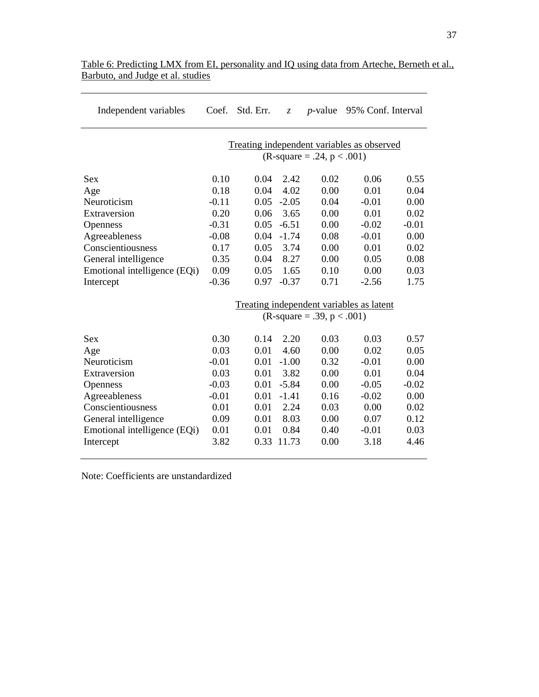| Independent variables        | Coef.   | Std. Err. | $\mathcal{Z}$ |                                     | <i>p</i> -value 95% Conf. Interval         |         |
|------------------------------|---------|-----------|---------------|-------------------------------------|--------------------------------------------|---------|
|                              |         |           |               | $(R\text{-}square = .24, p < .001)$ | Treating independent variables as observed |         |
| <b>Sex</b>                   | 0.10    | 0.04      | 2.42          | 0.02                                | 0.06                                       | 0.55    |
| Age                          | 0.18    | 0.04      | 4.02          | 0.00                                | 0.01                                       | 0.04    |
| Neuroticism                  | $-0.11$ | 0.05      | $-2.05$       | 0.04                                | $-0.01$                                    | 0.00    |
| Extraversion                 | 0.20    | 0.06      | 3.65          | 0.00                                | 0.01                                       | 0.02    |
| Openness                     | $-0.31$ | 0.05      | $-6.51$       | 0.00                                | $-0.02$                                    | $-0.01$ |
| Agreeableness                | $-0.08$ | 0.04      | $-1.74$       | 0.08                                | $-0.01$                                    | 0.00    |
| Conscientiousness            | 0.17    | 0.05      | 3.74          | 0.00                                | 0.01                                       | 0.02    |
| General intelligence         | 0.35    | 0.04      | 8.27          | 0.00                                | 0.05                                       | 0.08    |
| Emotional intelligence (EQi) | 0.09    | 0.05      | 1.65          | 0.10                                | 0.00                                       | 0.03    |
| Intercept                    | $-0.36$ | 0.97      | $-0.37$       | 0.71                                | $-2.56$                                    | 1.75    |
|                              |         |           |               |                                     | Treating independent variables as latent   |         |
|                              |         |           |               | $(R\text{-}square = .39, p < .001)$ |                                            |         |
| <b>Sex</b>                   | 0.30    | 0.14      | 2.20          | 0.03                                | 0.03                                       | 0.57    |
| Age                          | 0.03    | 0.01      | 4.60          | 0.00                                | 0.02                                       | 0.05    |
| Neuroticism                  | $-0.01$ | 0.01      | $-1.00$       | 0.32                                | $-0.01$                                    | 0.00    |
| Extraversion                 | 0.03    | 0.01      | 3.82          | 0.00                                | 0.01                                       | 0.04    |
| Openness                     | $-0.03$ | 0.01      | $-5.84$       | 0.00                                | $-0.05$                                    | $-0.02$ |
| Agreeableness                | $-0.01$ | 0.01      | $-1.41$       | 0.16                                | $-0.02$                                    | 0.00    |
| Conscientiousness            | 0.01    | 0.01      | 2.24          | 0.03                                | 0.00                                       | 0.02    |
| General intelligence         | 0.09    | 0.01      | 8.03          | 0.00                                | 0.07                                       | 0.12    |
| Emotional intelligence (EQi) | 0.01    | 0.01      | 0.84          | 0.40                                | $-0.01$                                    | 0.03    |
| Intercept                    | 3.82    | 0.33      | 11.73         | 0.00                                | 3.18                                       | 4.46    |

| Table 6: Predicting LMX from EI, personality and IO using data from Arteche, Berneth et al., |  |  |  |  |
|----------------------------------------------------------------------------------------------|--|--|--|--|
| Barbuto, and Judge et al. studies                                                            |  |  |  |  |

Note: Coefficients are unstandardized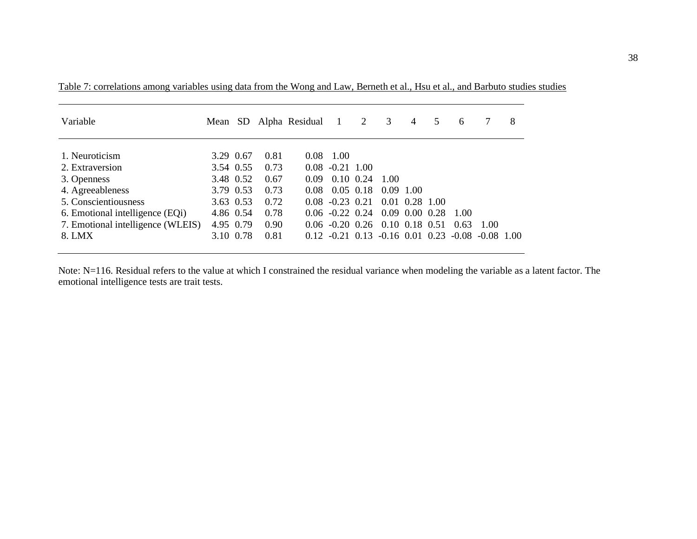| Variable                          |           |      | Mean SD Alpha Residual 1 |                                  | 2 | 3                  | 4 | 5 | 6      |                                                          | 8 |
|-----------------------------------|-----------|------|--------------------------|----------------------------------|---|--------------------|---|---|--------|----------------------------------------------------------|---|
| 1. Neuroticism                    | 3.29 0.67 | 0.81 | 0.08                     | 1.00                             |   |                    |   |   |        |                                                          |   |
| 2. Extraversion                   | 3.54 0.55 | 0.73 | 0.08                     | $-0.21$ 1.00                     |   |                    |   |   |        |                                                          |   |
| 3. Openness                       | 3.48 0.52 | 0.67 | 0.09                     | $0.10 \ \ 0.24$                  |   | 1.00               |   |   |        |                                                          |   |
| 4. Agreeableness                  | 3.79 0.53 | 0.73 | 0.08                     | $0.05$ 0.18                      |   | $0.09$ 1.00        |   |   |        |                                                          |   |
| 5. Conscientiousness              | 3.63 0.53 | 0.72 | 0.08                     | $-0.23$ 0.21                     |   | $0.01$ $0.28$ 1.00 |   |   |        |                                                          |   |
| 6. Emotional intelligence (EQi)   | 4.86 0.54 | 0.78 |                          | $0.06 -0.22$ 0.24 0.09 0.00 0.28 |   |                    |   |   | - 1.00 |                                                          |   |
| 7. Emotional intelligence (WLEIS) | 4.95 0.79 | 0.90 |                          | $0.06 -0.20 0.26 0.10 0.18 0.51$ |   |                    |   |   | 0.63   | - 1.00                                                   |   |
| 8. LMX                            | 3.10 0.78 | 0.81 |                          |                                  |   |                    |   |   |        | $0.12 -0.21$ $0.13 -0.16$ $0.01$ $0.23 -0.08 -0.08$ 1.00 |   |

Table 7: correlations among variables using data from the Wong and Law, Berneth et al., Hsu et al., and Barbuto studies studies

Note: N=116. Residual refers to the value at which I constrained the residual variance when modeling the variable as a latent factor. The emotional intelligence tests are trait tests.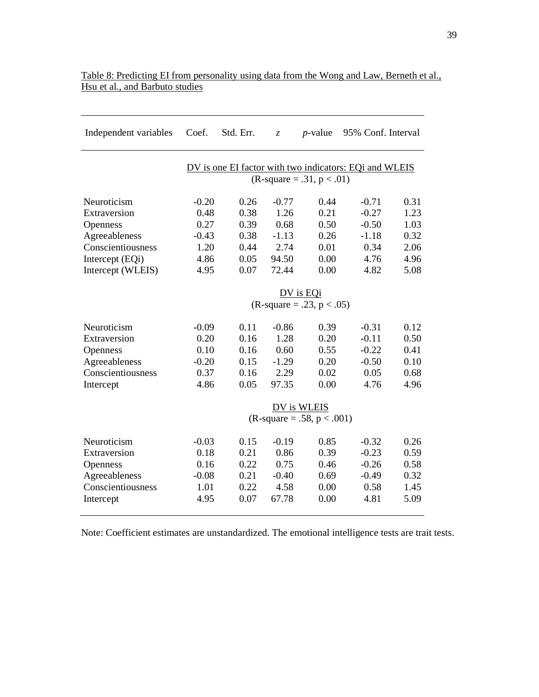| Independent variables | Coef.                       | Std. Err. | $\mathcal{Z}$ | $p$ -value                          | 95% Conf. Interval                                     |      |  |  |  |  |  |
|-----------------------|-----------------------------|-----------|---------------|-------------------------------------|--------------------------------------------------------|------|--|--|--|--|--|
|                       |                             |           |               | $(R\text{-}square = .31, p < .01)$  | DV is one EI factor with two indicators: EQi and WLEIS |      |  |  |  |  |  |
|                       |                             |           |               |                                     |                                                        |      |  |  |  |  |  |
| Neuroticism           | $-0.20$                     | 0.26      | $-0.77$       | 0.44                                | $-0.71$                                                | 0.31 |  |  |  |  |  |
| Extraversion          | 0.48                        | 0.38      | 1.26          | 0.21                                | $-0.27$                                                | 1.23 |  |  |  |  |  |
| Openness              | 0.27                        | 0.39      | 0.68          | 0.50                                | $-0.50$                                                | 1.03 |  |  |  |  |  |
| Agreeableness         | $-0.43$                     | 0.38      | $-1.13$       | 0.26                                | $-1.18$                                                | 0.32 |  |  |  |  |  |
| Conscientiousness     | 1.20                        | 0.44      | 2.74          | 0.01                                | 0.34                                                   | 2.06 |  |  |  |  |  |
| Intercept (EQi)       | 4.86                        | 0.05      | 94.50         | 0.00                                | 4.76                                                   | 4.96 |  |  |  |  |  |
| Intercept (WLEIS)     | 4.95                        | 0.07      | 72.44         | 0.00                                | 4.82                                                   | 5.08 |  |  |  |  |  |
|                       | DV is EQi                   |           |               |                                     |                                                        |      |  |  |  |  |  |
|                       | $(R-square = .23, p < .05)$ |           |               |                                     |                                                        |      |  |  |  |  |  |
| Neuroticism           | $-0.09$                     | 0.11      | $-0.86$       | 0.39                                | $-0.31$                                                | 0.12 |  |  |  |  |  |
| Extraversion          | 0.20                        | 0.16      | 1.28          | 0.20                                | $-0.11$                                                | 0.50 |  |  |  |  |  |
| Openness              | 0.10                        | 0.16      | 0.60          | 0.55                                | $-0.22$                                                | 0.41 |  |  |  |  |  |
| Agreeableness         | $-0.20$                     | 0.15      | $-1.29$       | 0.20                                | $-0.50$                                                | 0.10 |  |  |  |  |  |
| Conscientiousness     | 0.37                        | 0.16      | 2.29          | 0.02                                | 0.05                                                   | 0.68 |  |  |  |  |  |
| Intercept             | 4.86                        | 0.05      | 97.35         | 0.00                                | 4.76                                                   | 4.96 |  |  |  |  |  |
|                       |                             |           |               | DV is WLEIS                         |                                                        |      |  |  |  |  |  |
|                       |                             |           |               | $(R\text{-}square = .58, p < .001)$ |                                                        |      |  |  |  |  |  |
| Neuroticism           | $-0.03$                     | 0.15      | $-0.19$       | 0.85                                | $-0.32$                                                | 0.26 |  |  |  |  |  |
| Extraversion          | 0.18                        | 0.21      | 0.86          | 0.39                                | $-0.23$                                                | 0.59 |  |  |  |  |  |
| Openness              | 0.16                        | 0.22      | 0.75          | 0.46                                | $-0.26$                                                | 0.58 |  |  |  |  |  |
| Agreeableness         | $-0.08$                     | 0.21      | $-0.40$       | 0.69                                | $-0.49$                                                | 0.32 |  |  |  |  |  |
| Conscientiousness     | 1.01                        | 0.22      | 4.58          | 0.00                                | 0.58                                                   | 1.45 |  |  |  |  |  |
| Intercept             | 4.95                        | 0.07      | 67.78         | 0.00                                | 4.81                                                   | 5.09 |  |  |  |  |  |
|                       |                             |           |               |                                     |                                                        |      |  |  |  |  |  |

## Table 8: Predicting EI from personality using data from the Wong and Law, Berneth et al., Hsu et al., and Barbuto studies

Note: Coefficient estimates are unstandardized. The emotional intelligence tests are trait tests.